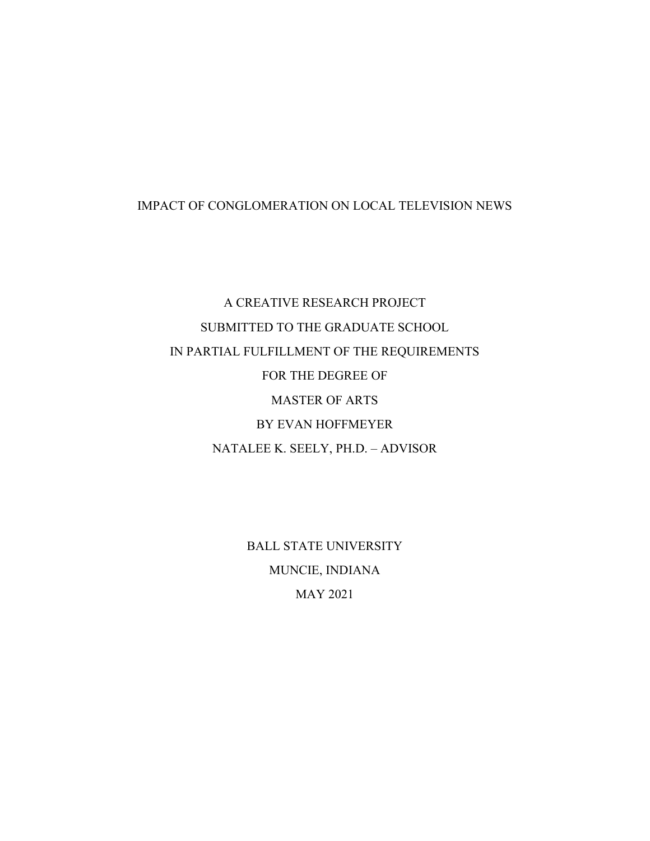# IMPACT OF CONGLOMERATION ON LOCAL TELEVISION NEWS

A CREATIVE RESEARCH PROJECT SUBMITTED TO THE GRADUATE SCHOOL IN PARTIAL FULFILLMENT OF THE REQUIREMENTS FOR THE DEGREE OF MASTER OF ARTS BY EVAN HOFFMEYER NATALEE K. SEELY, PH.D. – ADVISOR

> BALL STATE UNIVERSITY MUNCIE, INDIANA MAY 2021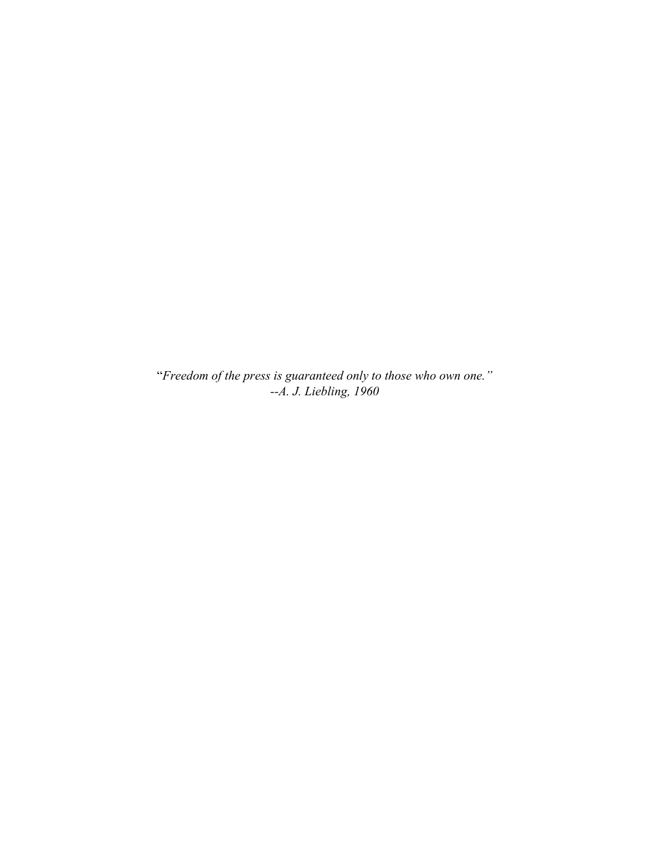"*Freedom of the press is guaranteed only to those who own one." --A. J. Liebling, 1960*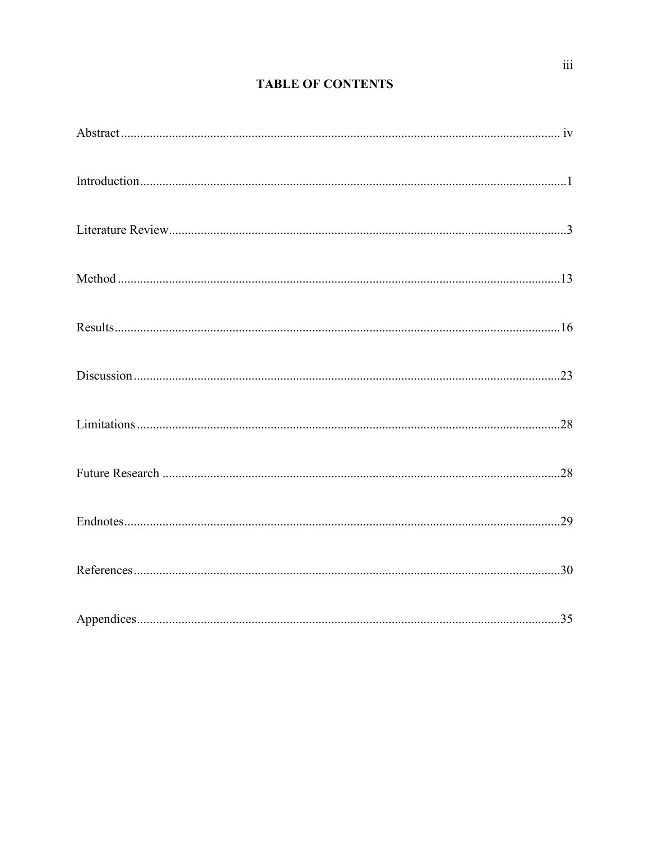# **TABLE OF CONTENTS**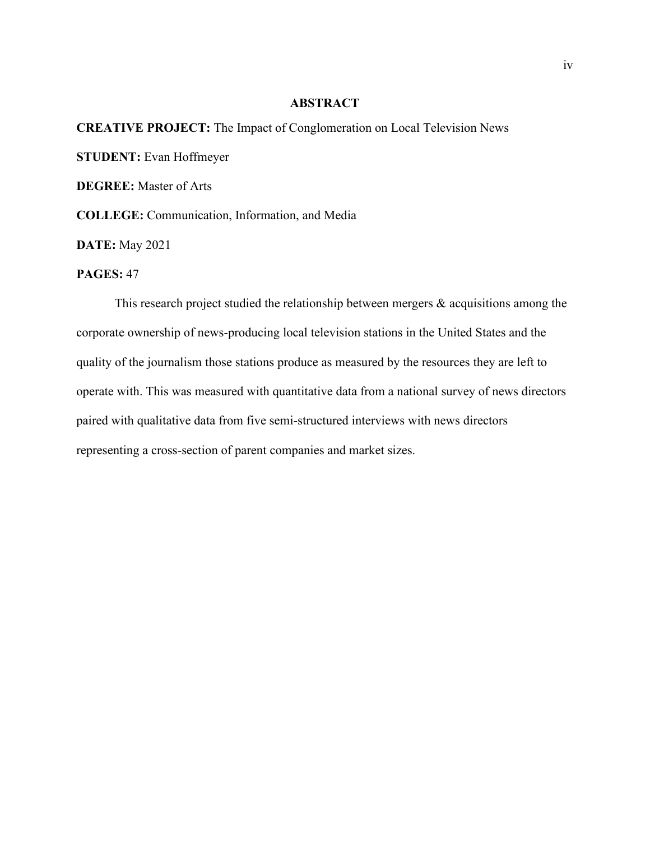## **ABSTRACT**

# **CREATIVE PROJECT:** The Impact of Conglomeration on Local Television News

**STUDENT:** Evan Hoffmeyer

**DEGREE:** Master of Arts

**COLLEGE:** Communication, Information, and Media

**DATE:** May 2021

# **PAGES:** 47

This research project studied the relationship between mergers  $\&$  acquisitions among the corporate ownership of news-producing local television stations in the United States and the quality of the journalism those stations produce as measured by the resources they are left to operate with. This was measured with quantitative data from a national survey of news directors paired with qualitative data from five semi-structured interviews with news directors representing a cross-section of parent companies and market sizes.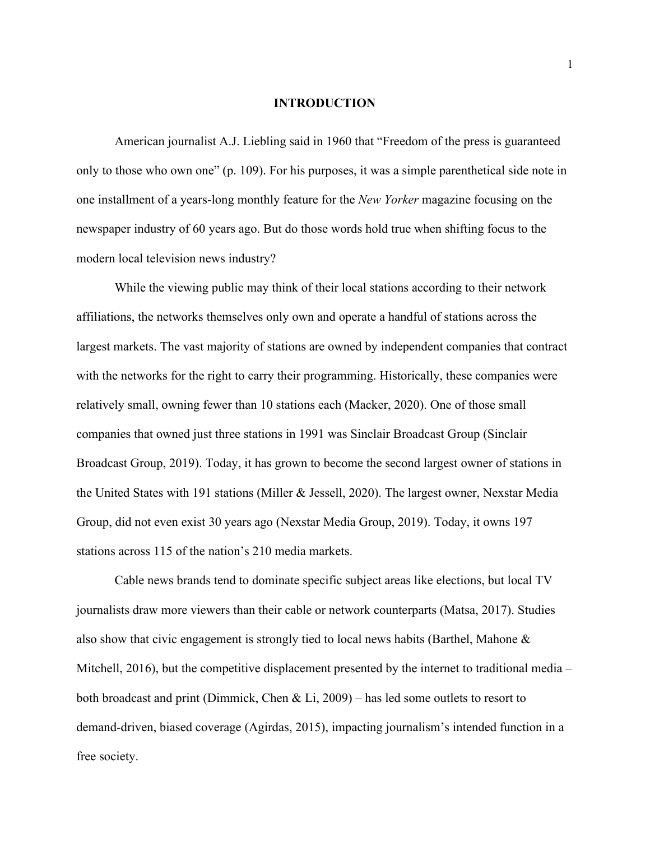# **INTRODUCTION**

American journalist A.J. Liebling said in 1960 that "Freedom of the press is guaranteed only to those who own one" (p. 109). For his purposes, it was a simple parenthetical side note in one installment of a years-long monthly feature for the *New Yorker* magazine focusing on the newspaper industry of 60 years ago. But do those words hold true when shifting focus to the modern local television news industry?

While the viewing public may think of their local stations according to their network affiliations, the networks themselves only own and operate a handful of stations across the largest markets. The vast majority of stations are owned by independent companies that contract with the networks for the right to carry their programming. Historically, these companies were relatively small, owning fewer than 10 stations each (Macker, 2020). One of those small companies that owned just three stations in 1991 was Sinclair Broadcast Group (Sinclair Broadcast Group, 2019). Today, it has grown to become the second largest owner of stations in the United States with 191 stations (Miller & Jessell, 2020). The largest owner, Nexstar Media Group, did not even exist 30 years ago (Nexstar Media Group, 2019). Today, it owns 197 stations across 115 of the nation's 210 media markets.

Cable news brands tend to dominate specific subject areas like elections, but local TV journalists draw more viewers than their cable or network counterparts (Matsa, 2017). Studies also show that civic engagement is strongly tied to local news habits (Barthel, Mahone & Mitchell, 2016), but the competitive displacement presented by the internet to traditional media – both broadcast and print (Dimmick, Chen & Li, 2009) – has led some outlets to resort to demand-driven, biased coverage (Agirdas, 2015), impacting journalism's intended function in a free society.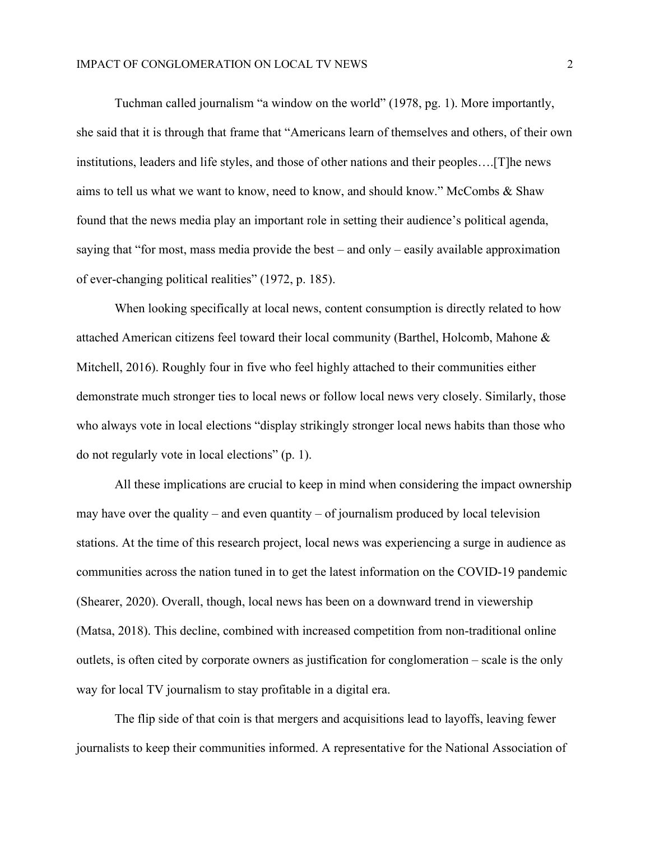Tuchman called journalism "a window on the world" (1978, pg. 1). More importantly, she said that it is through that frame that "Americans learn of themselves and others, of their own institutions, leaders and life styles, and those of other nations and their peoples….[T]he news aims to tell us what we want to know, need to know, and should know." McCombs & Shaw found that the news media play an important role in setting their audience's political agenda, saying that "for most, mass media provide the best – and only – easily available approximation of ever-changing political realities" (1972, p. 185).

When looking specifically at local news, content consumption is directly related to how attached American citizens feel toward their local community (Barthel, Holcomb, Mahone & Mitchell, 2016). Roughly four in five who feel highly attached to their communities either demonstrate much stronger ties to local news or follow local news very closely. Similarly, those who always vote in local elections "display strikingly stronger local news habits than those who do not regularly vote in local elections" (p. 1).

All these implications are crucial to keep in mind when considering the impact ownership may have over the quality – and even quantity – of journalism produced by local television stations. At the time of this research project, local news was experiencing a surge in audience as communities across the nation tuned in to get the latest information on the COVID-19 pandemic (Shearer, 2020). Overall, though, local news has been on a downward trend in viewership (Matsa, 2018). This decline, combined with increased competition from non-traditional online outlets, is often cited by corporate owners as justification for conglomeration – scale is the only way for local TV journalism to stay profitable in a digital era.

The flip side of that coin is that mergers and acquisitions lead to layoffs, leaving fewer journalists to keep their communities informed. A representative for the National Association of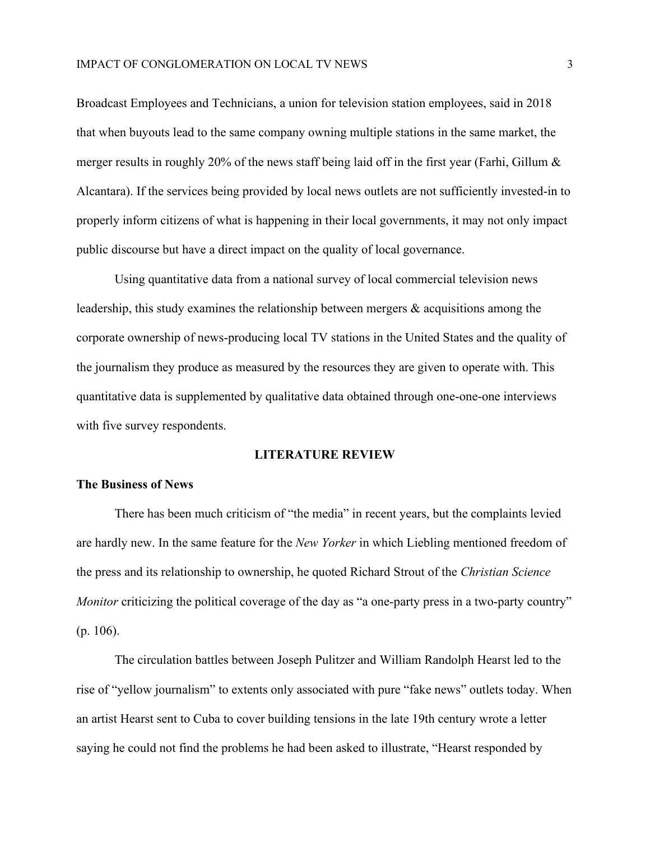Broadcast Employees and Technicians, a union for television station employees, said in 2018 that when buyouts lead to the same company owning multiple stations in the same market, the merger results in roughly 20% of the news staff being laid off in the first year (Farhi, Gillum & Alcantara). If the services being provided by local news outlets are not sufficiently invested-in to properly inform citizens of what is happening in their local governments, it may not only impact public discourse but have a direct impact on the quality of local governance.

Using quantitative data from a national survey of local commercial television news leadership, this study examines the relationship between mergers  $\&$  acquisitions among the corporate ownership of news-producing local TV stations in the United States and the quality of the journalism they produce as measured by the resources they are given to operate with. This quantitative data is supplemented by qualitative data obtained through one-one-one interviews with five survey respondents.

#### **LITERATURE REVIEW**

# **The Business of News**

There has been much criticism of "the media" in recent years, but the complaints levied are hardly new. In the same feature for the *New Yorker* in which Liebling mentioned freedom of the press and its relationship to ownership, he quoted Richard Strout of the *Christian Science Monitor* criticizing the political coverage of the day as "a one-party press in a two-party country" (p. 106).

The circulation battles between Joseph Pulitzer and William Randolph Hearst led to the rise of "yellow journalism" to extents only associated with pure "fake news" outlets today. When an artist Hearst sent to Cuba to cover building tensions in the late 19th century wrote a letter saying he could not find the problems he had been asked to illustrate, "Hearst responded by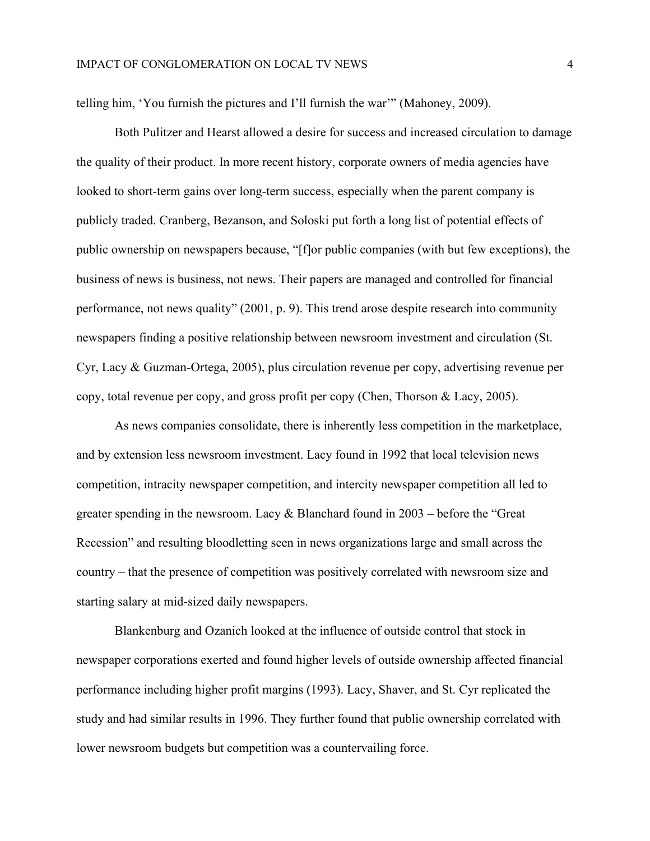telling him, 'You furnish the pictures and I'll furnish the war'" (Mahoney, 2009).

Both Pulitzer and Hearst allowed a desire for success and increased circulation to damage the quality of their product. In more recent history, corporate owners of media agencies have looked to short-term gains over long-term success, especially when the parent company is publicly traded. Cranberg, Bezanson, and Soloski put forth a long list of potential effects of public ownership on newspapers because, "[f]or public companies (with but few exceptions), the business of news is business, not news. Their papers are managed and controlled for financial performance, not news quality" (2001, p. 9). This trend arose despite research into community newspapers finding a positive relationship between newsroom investment and circulation (St. Cyr, Lacy & Guzman-Ortega, 2005), plus circulation revenue per copy, advertising revenue per copy, total revenue per copy, and gross profit per copy (Chen, Thorson & Lacy, 2005).

As news companies consolidate, there is inherently less competition in the marketplace, and by extension less newsroom investment. Lacy found in 1992 that local television news competition, intracity newspaper competition, and intercity newspaper competition all led to greater spending in the newsroom. Lacy & Blanchard found in 2003 – before the "Great Recession" and resulting bloodletting seen in news organizations large and small across the country – that the presence of competition was positively correlated with newsroom size and starting salary at mid-sized daily newspapers.

Blankenburg and Ozanich looked at the influence of outside control that stock in newspaper corporations exerted and found higher levels of outside ownership affected financial performance including higher profit margins (1993). Lacy, Shaver, and St. Cyr replicated the study and had similar results in 1996. They further found that public ownership correlated with lower newsroom budgets but competition was a countervailing force.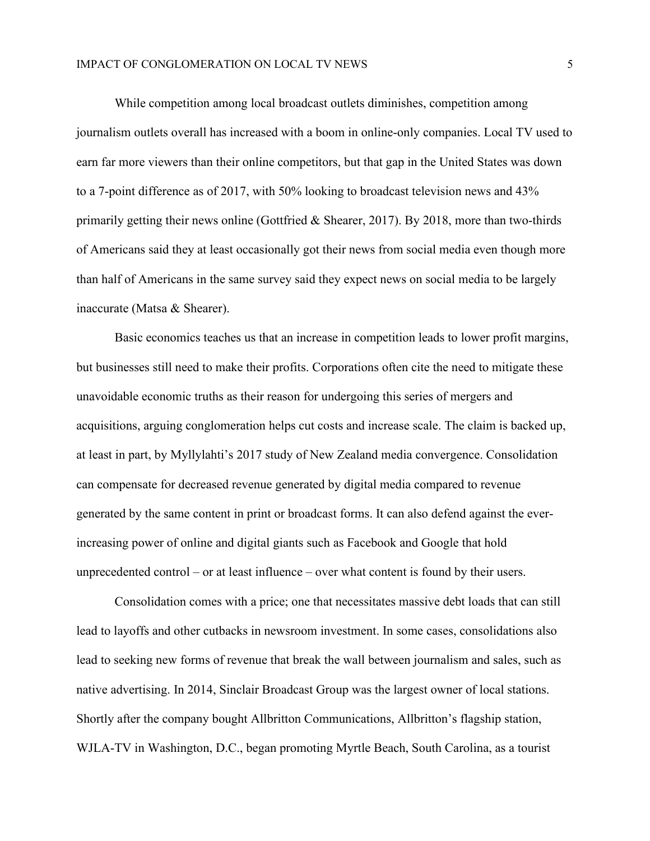While competition among local broadcast outlets diminishes, competition among journalism outlets overall has increased with a boom in online-only companies. Local TV used to earn far more viewers than their online competitors, but that gap in the United States was down to a 7-point difference as of 2017, with 50% looking to broadcast television news and 43% primarily getting their news online (Gottfried & Shearer, 2017). By 2018, more than two-thirds of Americans said they at least occasionally got their news from social media even though more than half of Americans in the same survey said they expect news on social media to be largely inaccurate (Matsa & Shearer).

Basic economics teaches us that an increase in competition leads to lower profit margins, but businesses still need to make their profits. Corporations often cite the need to mitigate these unavoidable economic truths as their reason for undergoing this series of mergers and acquisitions, arguing conglomeration helps cut costs and increase scale. The claim is backed up, at least in part, by Myllylahti's 2017 study of New Zealand media convergence. Consolidation can compensate for decreased revenue generated by digital media compared to revenue generated by the same content in print or broadcast forms. It can also defend against the everincreasing power of online and digital giants such as Facebook and Google that hold unprecedented control – or at least influence – over what content is found by their users.

Consolidation comes with a price; one that necessitates massive debt loads that can still lead to layoffs and other cutbacks in newsroom investment. In some cases, consolidations also lead to seeking new forms of revenue that break the wall between journalism and sales, such as native advertising. In 2014, Sinclair Broadcast Group was the largest owner of local stations. Shortly after the company bought Allbritton Communications, Allbritton's flagship station, WJLA-TV in Washington, D.C., began promoting Myrtle Beach, South Carolina, as a tourist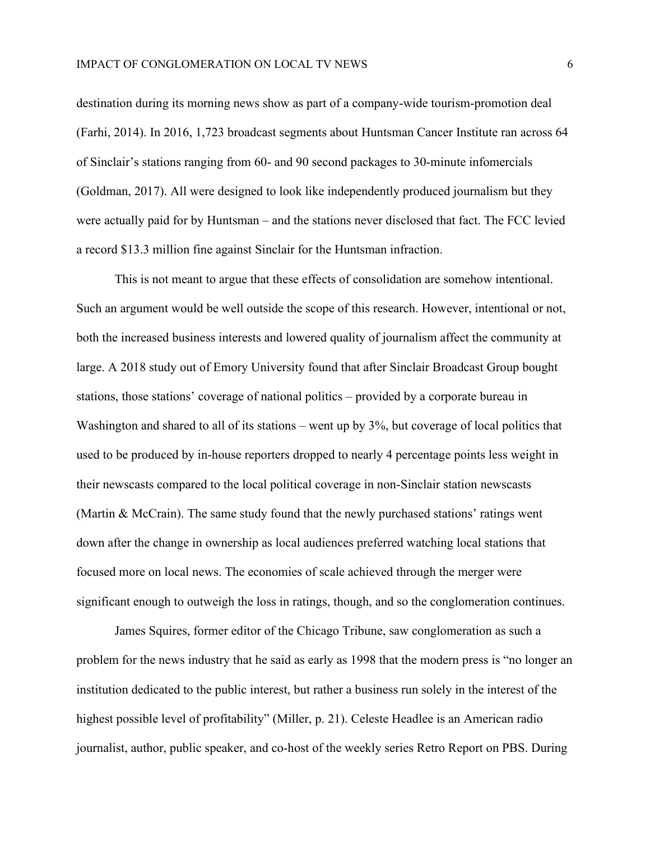destination during its morning news show as part of a company-wide tourism-promotion deal (Farhi, 2014). In 2016, 1,723 broadcast segments about Huntsman Cancer Institute ran across 64 of Sinclair's stations ranging from 60- and 90 second packages to 30-minute infomercials (Goldman, 2017). All were designed to look like independently produced journalism but they were actually paid for by Huntsman – and the stations never disclosed that fact. The FCC levied a record \$13.3 million fine against Sinclair for the Huntsman infraction.

This is not meant to argue that these effects of consolidation are somehow intentional. Such an argument would be well outside the scope of this research. However, intentional or not, both the increased business interests and lowered quality of journalism affect the community at large. A 2018 study out of Emory University found that after Sinclair Broadcast Group bought stations, those stations' coverage of national politics – provided by a corporate bureau in Washington and shared to all of its stations – went up by 3%, but coverage of local politics that used to be produced by in-house reporters dropped to nearly 4 percentage points less weight in their newscasts compared to the local political coverage in non-Sinclair station newscasts (Martin & McCrain). The same study found that the newly purchased stations' ratings went down after the change in ownership as local audiences preferred watching local stations that focused more on local news. The economies of scale achieved through the merger were significant enough to outweigh the loss in ratings, though, and so the conglomeration continues.

James Squires, former editor of the Chicago Tribune, saw conglomeration as such a problem for the news industry that he said as early as 1998 that the modern press is "no longer an institution dedicated to the public interest, but rather a business run solely in the interest of the highest possible level of profitability" (Miller, p. 21). Celeste Headlee is an American radio journalist, author, public speaker, and co-host of the weekly series Retro Report on PBS. During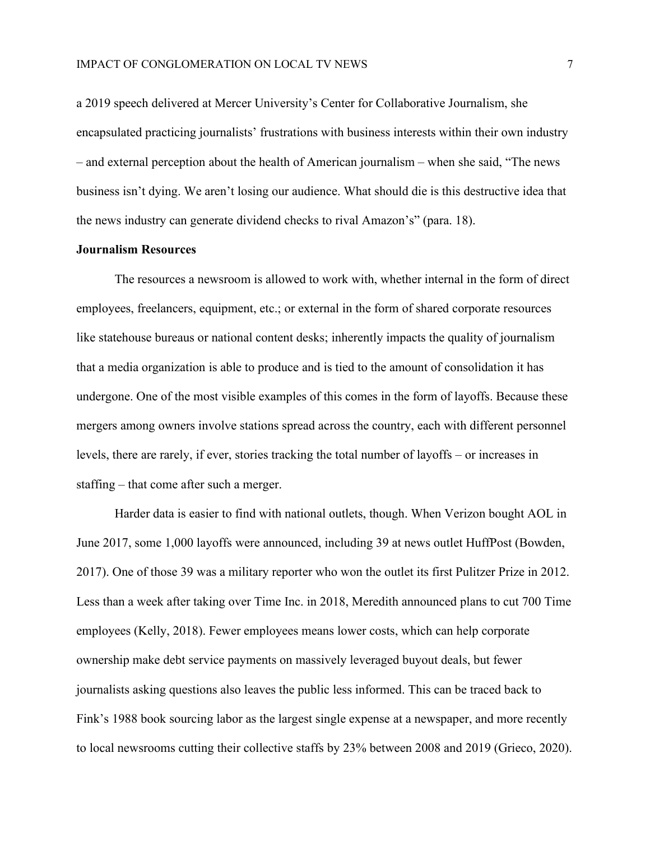a 2019 speech delivered at Mercer University's Center for Collaborative Journalism, she encapsulated practicing journalists' frustrations with business interests within their own industry – and external perception about the health of American journalism – when she said, "The news business isn't dying. We aren't losing our audience. What should die is this destructive idea that the news industry can generate dividend checks to rival Amazon's" (para. 18).

#### **Journalism Resources**

The resources a newsroom is allowed to work with, whether internal in the form of direct employees, freelancers, equipment, etc.; or external in the form of shared corporate resources like statehouse bureaus or national content desks; inherently impacts the quality of journalism that a media organization is able to produce and is tied to the amount of consolidation it has undergone. One of the most visible examples of this comes in the form of layoffs. Because these mergers among owners involve stations spread across the country, each with different personnel levels, there are rarely, if ever, stories tracking the total number of layoffs – or increases in staffing – that come after such a merger.

Harder data is easier to find with national outlets, though. When Verizon bought AOL in June 2017, some 1,000 layoffs were announced, including 39 at news outlet HuffPost (Bowden, 2017). One of those 39 was a military reporter who won the outlet its first Pulitzer Prize in 2012. Less than a week after taking over Time Inc. in 2018, Meredith announced plans to cut 700 Time employees (Kelly, 2018). Fewer employees means lower costs, which can help corporate ownership make debt service payments on massively leveraged buyout deals, but fewer journalists asking questions also leaves the public less informed. This can be traced back to Fink's 1988 book sourcing labor as the largest single expense at a newspaper, and more recently to local newsrooms cutting their collective staffs by 23% between 2008 and 2019 (Grieco, 2020).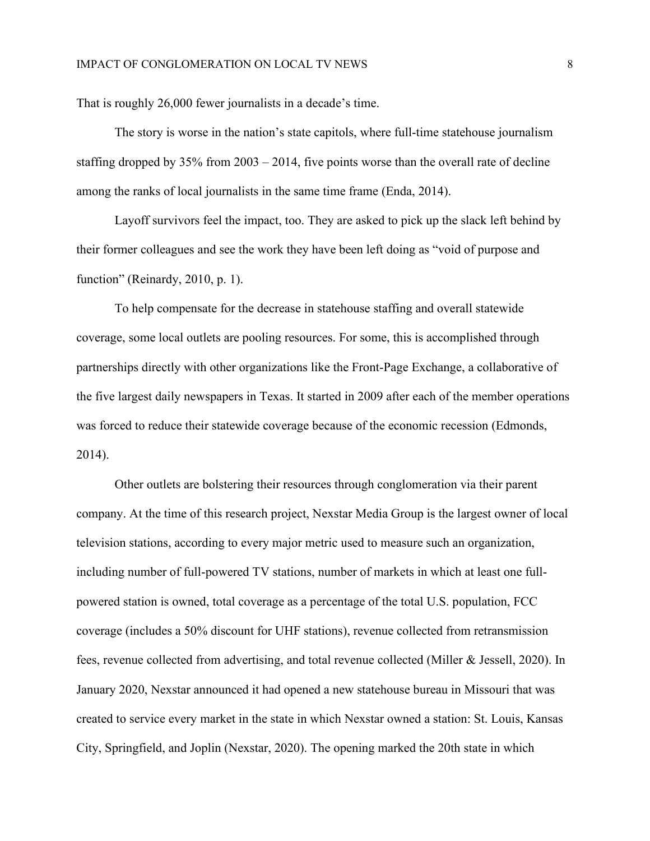That is roughly 26,000 fewer journalists in a decade's time.

The story is worse in the nation's state capitols, where full-time statehouse journalism staffing dropped by 35% from 2003 – 2014, five points worse than the overall rate of decline among the ranks of local journalists in the same time frame (Enda, 2014).

Layoff survivors feel the impact, too. They are asked to pick up the slack left behind by their former colleagues and see the work they have been left doing as "void of purpose and function" (Reinardy, 2010, p. 1).

To help compensate for the decrease in statehouse staffing and overall statewide coverage, some local outlets are pooling resources. For some, this is accomplished through partnerships directly with other organizations like the Front-Page Exchange, a collaborative of the five largest daily newspapers in Texas. It started in 2009 after each of the member operations was forced to reduce their statewide coverage because of the economic recession (Edmonds, 2014).

Other outlets are bolstering their resources through conglomeration via their parent company. At the time of this research project, Nexstar Media Group is the largest owner of local television stations, according to every major metric used to measure such an organization, including number of full-powered TV stations, number of markets in which at least one fullpowered station is owned, total coverage as a percentage of the total U.S. population, FCC coverage (includes a 50% discount for UHF stations), revenue collected from retransmission fees, revenue collected from advertising, and total revenue collected (Miller & Jessell, 2020). In January 2020, Nexstar announced it had opened a new statehouse bureau in Missouri that was created to service every market in the state in which Nexstar owned a station: St. Louis, Kansas City, Springfield, and Joplin (Nexstar, 2020). The opening marked the 20th state in which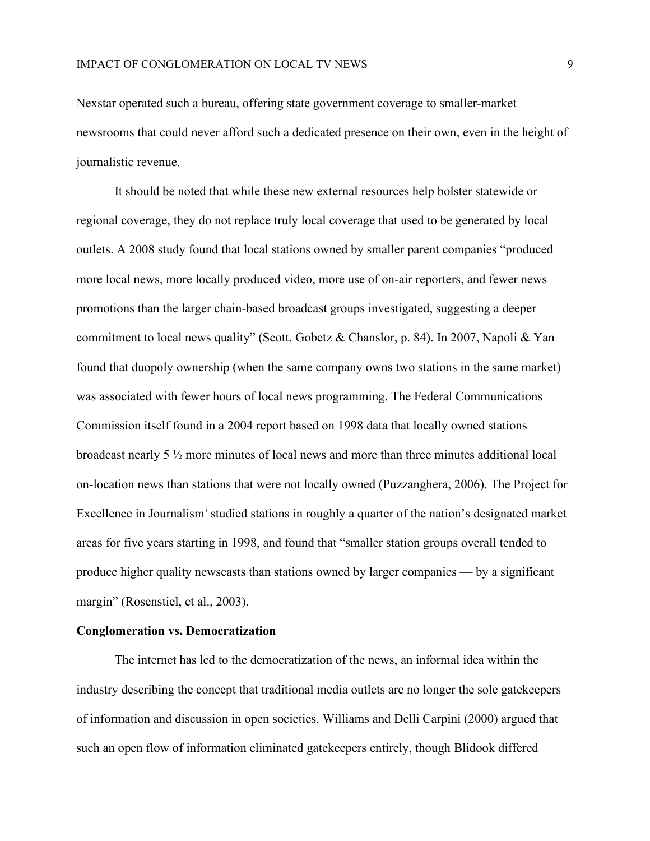Nexstar operated such a bureau, offering state government coverage to smaller-market newsrooms that could never afford such a dedicated presence on their own, even in the height of journalistic revenue.

It should be noted that while these new external resources help bolster statewide or regional coverage, they do not replace truly local coverage that used to be generated by local outlets. A 2008 study found that local stations owned by smaller parent companies "produced more local news, more locally produced video, more use of on-air reporters, and fewer news promotions than the larger chain-based broadcast groups investigated, suggesting a deeper commitment to local news quality" (Scott, Gobetz & Chanslor, p. 84). In 2007, Napoli & Yan found that duopoly ownership (when the same company owns two stations in the same market) was associated with fewer hours of local news programming. The Federal Communications Commission itself found in a 2004 report based on 1998 data that locally owned stations broadcast nearly 5 ½ more minutes of local news and more than three minutes additional local on-location news than stations that were not locally owned (Puzzanghera, 2006). The Project for Excellence [i](#page-32-0)n Journalism<sup>1</sup> studied stations in roughly a quarter of the nation's designated market areas for five years starting in 1998, and found that "smaller station groups overall tended to produce higher quality newscasts than stations owned by larger companies — by a significant margin" (Rosenstiel, et al., 2003).

## **Conglomeration vs. Democratization**

The internet has led to the democratization of the news, an informal idea within the industry describing the concept that traditional media outlets are no longer the sole gatekeepers of information and discussion in open societies. Williams and Delli Carpini (2000) argued that such an open flow of information eliminated gatekeepers entirely, though Blidook differed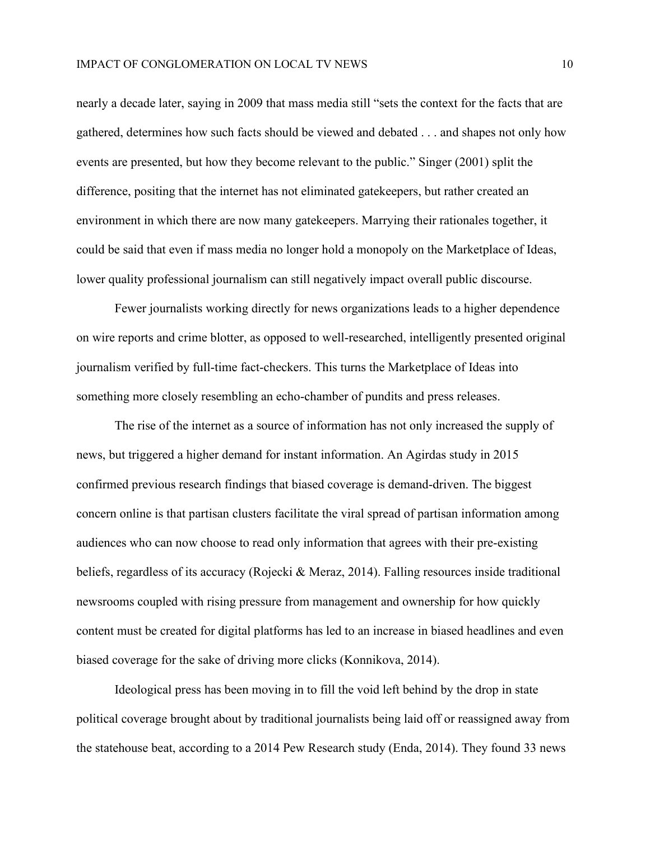nearly a decade later, saying in 2009 that mass media still "sets the context for the facts that are gathered, determines how such facts should be viewed and debated . . . and shapes not only how events are presented, but how they become relevant to the public." Singer (2001) split the difference, positing that the internet has not eliminated gatekeepers, but rather created an environment in which there are now many gatekeepers. Marrying their rationales together, it could be said that even if mass media no longer hold a monopoly on the Marketplace of Ideas, lower quality professional journalism can still negatively impact overall public discourse.

Fewer journalists working directly for news organizations leads to a higher dependence on wire reports and crime blotter, as opposed to well-researched, intelligently presented original journalism verified by full-time fact-checkers. This turns the Marketplace of Ideas into something more closely resembling an echo-chamber of pundits and press releases.

The rise of the internet as a source of information has not only increased the supply of news, but triggered a higher demand for instant information. An Agirdas study in 2015 confirmed previous research findings that biased coverage is demand-driven. The biggest concern online is that partisan clusters facilitate the viral spread of partisan information among audiences who can now choose to read only information that agrees with their pre-existing beliefs, regardless of its accuracy (Rojecki & Meraz, 2014). Falling resources inside traditional newsrooms coupled with rising pressure from management and ownership for how quickly content must be created for digital platforms has led to an increase in biased headlines and even biased coverage for the sake of driving more clicks (Konnikova, 2014).

Ideological press has been moving in to fill the void left behind by the drop in state political coverage brought about by traditional journalists being laid off or reassigned away from the statehouse beat, according to a 2014 Pew Research study (Enda, 2014). They found 33 news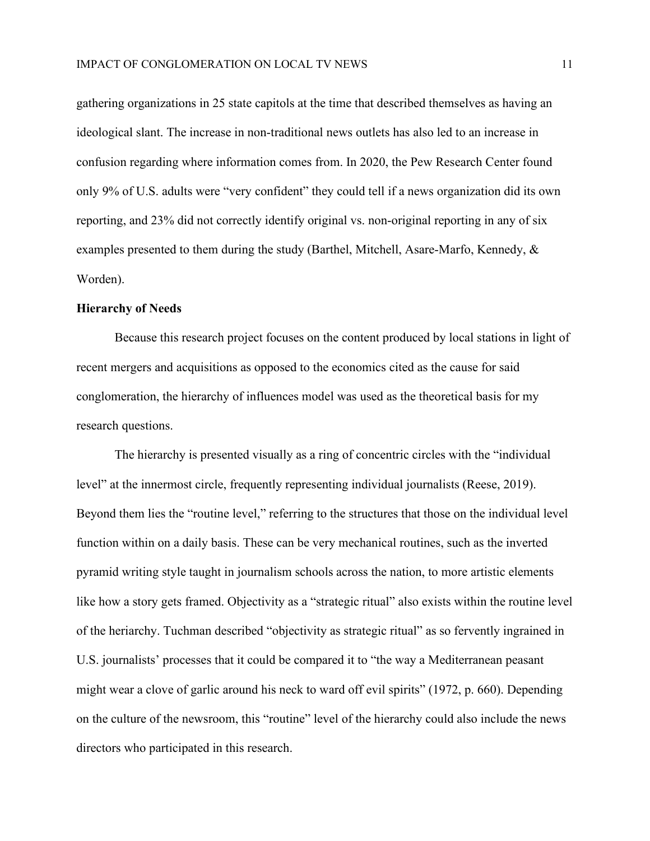gathering organizations in 25 state capitols at the time that described themselves as having an ideological slant. The increase in non-traditional news outlets has also led to an increase in confusion regarding where information comes from. In 2020, the Pew Research Center found only 9% of U.S. adults were "very confident" they could tell if a news organization did its own reporting, and 23% did not correctly identify original vs. non-original reporting in any of six examples presented to them during the study (Barthel, Mitchell, Asare-Marfo, Kennedy, & Worden).

#### **Hierarchy of Needs**

Because this research project focuses on the content produced by local stations in light of recent mergers and acquisitions as opposed to the economics cited as the cause for said conglomeration, the hierarchy of influences model was used as the theoretical basis for my research questions.

The hierarchy is presented visually as a ring of concentric circles with the "individual level" at the innermost circle, frequently representing individual journalists (Reese, 2019). Beyond them lies the "routine level," referring to the structures that those on the individual level function within on a daily basis. These can be very mechanical routines, such as the inverted pyramid writing style taught in journalism schools across the nation, to more artistic elements like how a story gets framed. Objectivity as a "strategic ritual" also exists within the routine level of the heriarchy. Tuchman described "objectivity as strategic ritual" as so fervently ingrained in U.S. journalists' processes that it could be compared it to "the way a Mediterranean peasant might wear a clove of garlic around his neck to ward off evil spirits" (1972, p. 660). Depending on the culture of the newsroom, this "routine" level of the hierarchy could also include the news directors who participated in this research.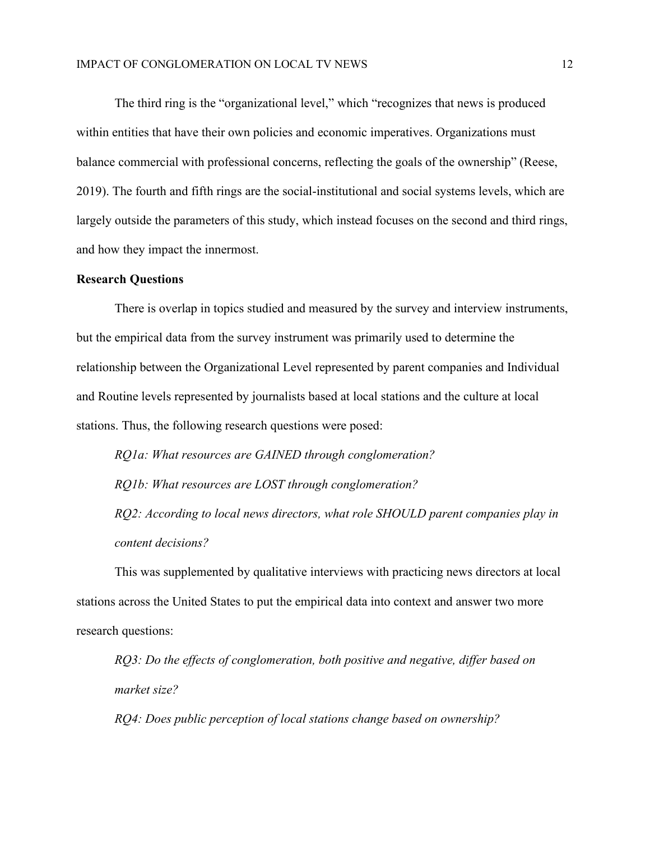The third ring is the "organizational level," which "recognizes that news is produced within entities that have their own policies and economic imperatives. Organizations must balance commercial with professional concerns, reflecting the goals of the ownership" (Reese, 2019). The fourth and fifth rings are the social-institutional and social systems levels, which are largely outside the parameters of this study, which instead focuses on the second and third rings, and how they impact the innermost.

### **Research Questions**

There is overlap in topics studied and measured by the survey and interview instruments, but the empirical data from the survey instrument was primarily used to determine the relationship between the Organizational Level represented by parent companies and Individual and Routine levels represented by journalists based at local stations and the culture at local stations. Thus, the following research questions were posed:

*RQ1a: What resources are GAINED through conglomeration? RQ1b: What resources are LOST through conglomeration? RQ2: According to local news directors, what role SHOULD parent companies play in content decisions?*

This was supplemented by qualitative interviews with practicing news directors at local stations across the United States to put the empirical data into context and answer two more research questions:

*RQ3: Do the effects of conglomeration, both positive and negative, differ based on market size?*

*RQ4: Does public perception of local stations change based on ownership?*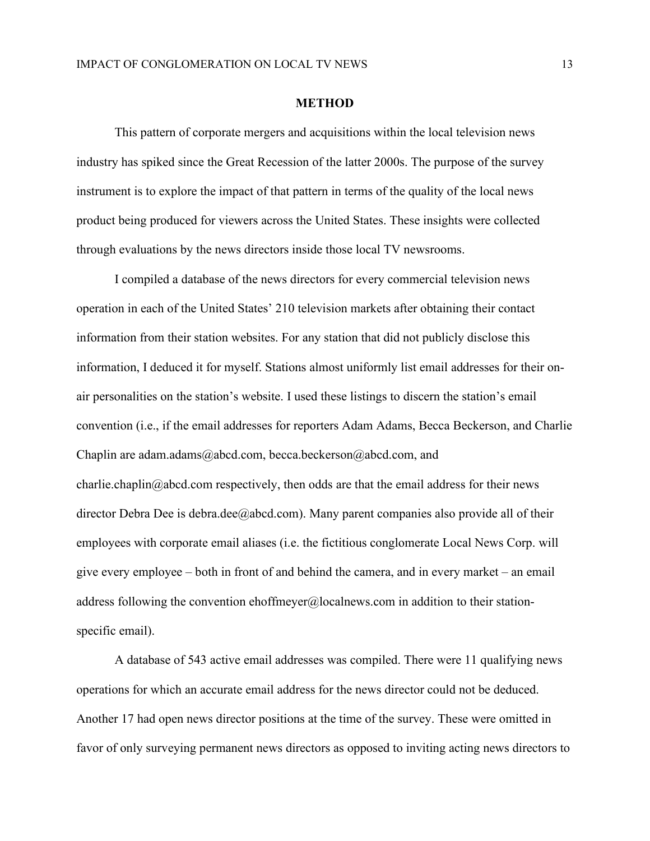#### **METHOD**

This pattern of corporate mergers and acquisitions within the local television news industry has spiked since the Great Recession of the latter 2000s. The purpose of the survey instrument is to explore the impact of that pattern in terms of the quality of the local news product being produced for viewers across the United States. These insights were collected through evaluations by the news directors inside those local TV newsrooms.

I compiled a database of the news directors for every commercial television news operation in each of the United States' 210 television markets after obtaining their contact information from their station websites. For any station that did not publicly disclose this information, I deduced it for myself. Stations almost uniformly list email addresses for their onair personalities on the station's website. I used these listings to discern the station's email convention (i.e., if the email addresses for reporters Adam Adams, Becca Beckerson, and Charlie Chaplin are adam.adams@abcd.com, becca.beckerson@abcd.com, and charlie.chaplin@abcd.com respectively, then odds are that the email address for their news director Debra Dee is debra.dee@abcd.com). Many parent companies also provide all of their employees with corporate email aliases (i.e. the fictitious conglomerate Local News Corp. will give every employee – both in front of and behind the camera, and in every market – an email address following the convention ehoffmeyer@localnews.com in addition to their stationspecific email).

A database of 543 active email addresses was compiled. There were 11 qualifying news operations for which an accurate email address for the news director could not be deduced. Another 17 had open news director positions at the time of the survey. These were omitted in favor of only surveying permanent news directors as opposed to inviting acting news directors to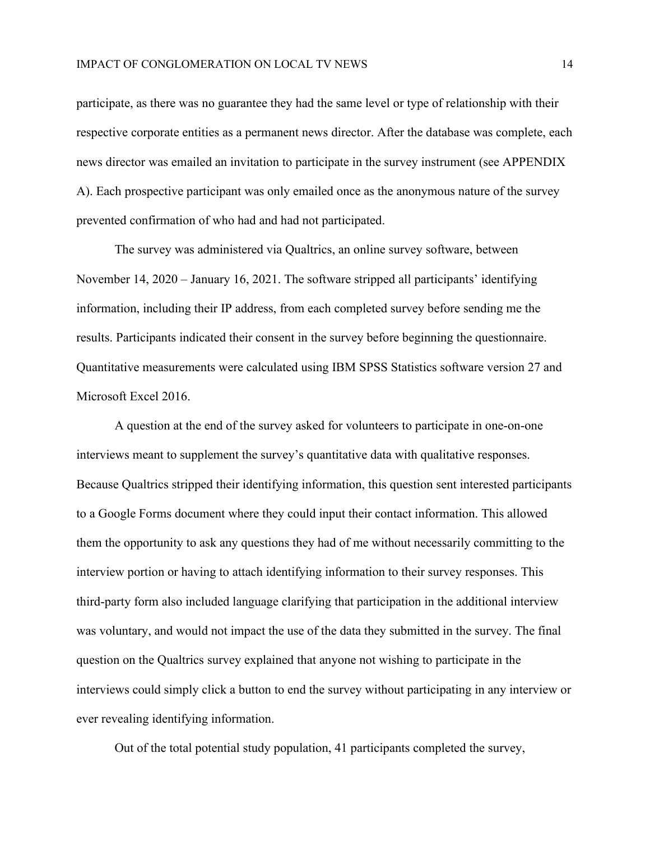participate, as there was no guarantee they had the same level or type of relationship with their respective corporate entities as a permanent news director. After the database was complete, each news director was emailed an invitation to participate in the survey instrument (see APPENDIX A). Each prospective participant was only emailed once as the anonymous nature of the survey prevented confirmation of who had and had not participated.

The survey was administered via Qualtrics, an online survey software, between November 14, 2020 – January 16, 2021. The software stripped all participants' identifying information, including their IP address, from each completed survey before sending me the results. Participants indicated their consent in the survey before beginning the questionnaire. Quantitative measurements were calculated using IBM SPSS Statistics software version 27 and Microsoft Excel 2016.

A question at the end of the survey asked for volunteers to participate in one-on-one interviews meant to supplement the survey's quantitative data with qualitative responses. Because Qualtrics stripped their identifying information, this question sent interested participants to a Google Forms document where they could input their contact information. This allowed them the opportunity to ask any questions they had of me without necessarily committing to the interview portion or having to attach identifying information to their survey responses. This third-party form also included language clarifying that participation in the additional interview was voluntary, and would not impact the use of the data they submitted in the survey. The final question on the Qualtrics survey explained that anyone not wishing to participate in the interviews could simply click a button to end the survey without participating in any interview or ever revealing identifying information.

Out of the total potential study population, 41 participants completed the survey,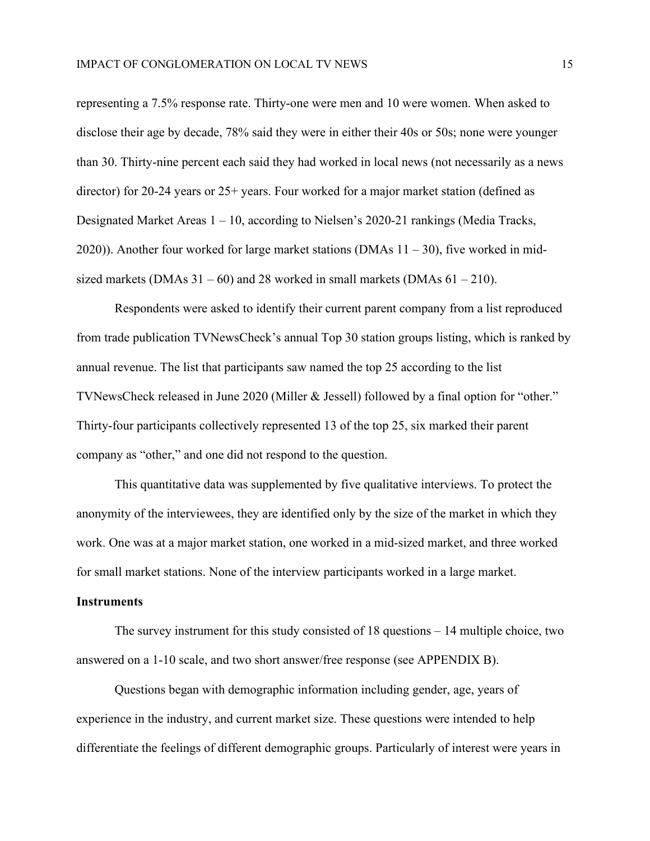representing a 7.5% response rate. Thirty-one were men and 10 were women. When asked to disclose their age by decade, 78% said they were in either their 40s or 50s; none were younger than 30. Thirty-nine percent each said they had worked in local news (not necessarily as a news director) for 20-24 years or 25+ years. Four worked for a major market station (defined as Designated Market Areas 1 – 10, according to Nielsen's 2020-21 rankings (Media Tracks, 2020)). Another four worked for large market stations (DMAs 11 – 30), five worked in midsized markets (DMAs  $31 - 60$ ) and 28 worked in small markets (DMAs  $61 - 210$ ).

Respondents were asked to identify their current parent company from a list reproduced from trade publication TVNewsCheck's annual Top 30 station groups listing, which is ranked by annual revenue. The list that participants saw named the top 25 according to the list TVNewsCheck released in June 2020 (Miller & Jessell) followed by a final option for "other." Thirty-four participants collectively represented 13 of the top 25, six marked their parent company as "other," and one did not respond to the question.

This quantitative data was supplemented by five qualitative interviews. To protect the anonymity of the interviewees, they are identified only by the size of the market in which they work. One was at a major market station, one worked in a mid-sized market, and three worked for small market stations. None of the interview participants worked in a large market.

### **Instruments**

The survey instrument for this study consisted of 18 questions – 14 multiple choice, two answered on a 1-10 scale, and two short answer/free response (see APPENDIX B).

Questions began with demographic information including gender, age, years of experience in the industry, and current market size. These questions were intended to help differentiate the feelings of different demographic groups. Particularly of interest were years in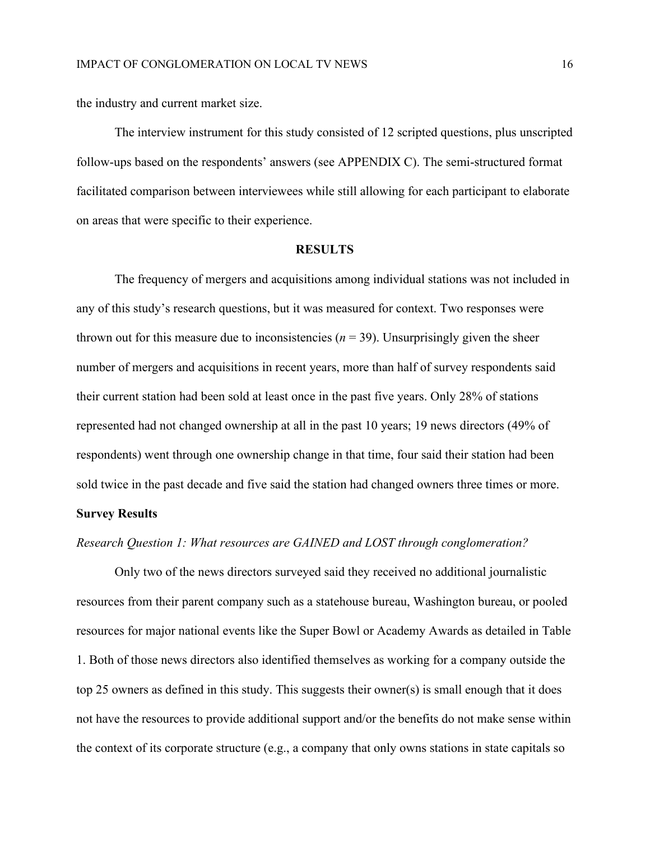the industry and current market size.

The interview instrument for this study consisted of 12 scripted questions, plus unscripted follow-ups based on the respondents' answers (see APPENDIX C). The semi-structured format facilitated comparison between interviewees while still allowing for each participant to elaborate on areas that were specific to their experience.

#### **RESULTS**

The frequency of mergers and acquisitions among individual stations was not included in any of this study's research questions, but it was measured for context. Two responses were thrown out for this measure due to inconsistencies ( $n = 39$ ). Unsurprisingly given the sheer number of mergers and acquisitions in recent years, more than half of survey respondents said their current station had been sold at least once in the past five years. Only 28% of stations represented had not changed ownership at all in the past 10 years; 19 news directors (49% of respondents) went through one ownership change in that time, four said their station had been sold twice in the past decade and five said the station had changed owners three times or more.

# **Survey Results**

# *Research Question 1: What resources are GAINED and LOST through conglomeration?*

Only two of the news directors surveyed said they received no additional journalistic resources from their parent company such as a statehouse bureau, Washington bureau, or pooled resources for major national events like the Super Bowl or Academy Awards as detailed in Table 1. Both of those news directors also identified themselves as working for a company outside the top 25 owners as defined in this study. This suggests their owner(s) is small enough that it does not have the resources to provide additional support and/or the benefits do not make sense within the context of its corporate structure (e.g., a company that only owns stations in state capitals so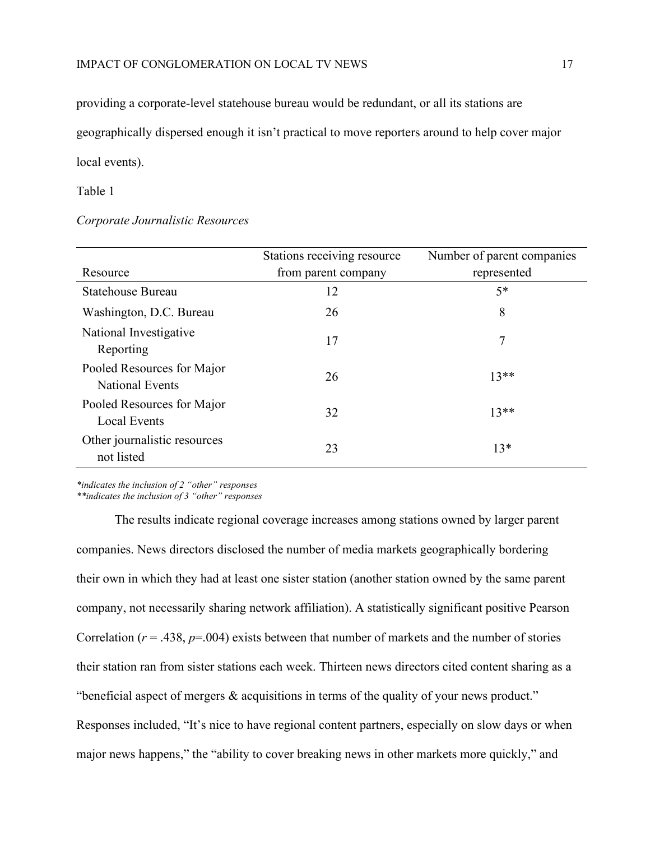providing a corporate-level statehouse bureau would be redundant, or all its stations are geographically dispersed enough it isn't practical to move reporters around to help cover major local events).

#### Table 1

### *Corporate Journalistic Resources*

| Resource                                          | Stations receiving resource<br>from parent company | Number of parent companies<br>represented |
|---------------------------------------------------|----------------------------------------------------|-------------------------------------------|
| Statehouse Bureau                                 | 12                                                 | $5*$                                      |
| Washington, D.C. Bureau                           | 26                                                 | 8                                         |
| National Investigative<br>Reporting               | 17                                                 | 7                                         |
| Pooled Resources for Major<br>National Events     | 26                                                 | $13**$                                    |
| Pooled Resources for Major<br><b>Local Events</b> | 32                                                 | $13**$                                    |
| Other journalistic resources<br>not listed        | 23                                                 | $13*$                                     |

*\*indicates the inclusion of 2 "other" responses*

*\*\*indicates the inclusion of 3 "other" responses*

The results indicate regional coverage increases among stations owned by larger parent companies. News directors disclosed the number of media markets geographically bordering their own in which they had at least one sister station (another station owned by the same parent company, not necessarily sharing network affiliation). A statistically significant positive Pearson Correlation ( $r = .438$ ,  $p = .004$ ) exists between that number of markets and the number of stories their station ran from sister stations each week. Thirteen news directors cited content sharing as a "beneficial aspect of mergers & acquisitions in terms of the quality of your news product." Responses included, "It's nice to have regional content partners, especially on slow days or when major news happens," the "ability to cover breaking news in other markets more quickly," and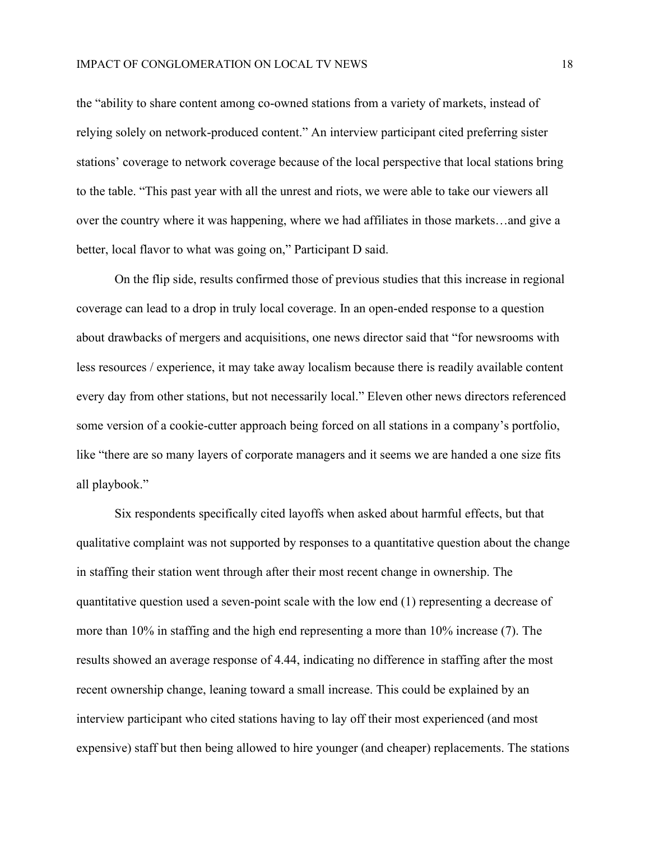the "ability to share content among co-owned stations from a variety of markets, instead of relying solely on network-produced content." An interview participant cited preferring sister stations' coverage to network coverage because of the local perspective that local stations bring to the table. "This past year with all the unrest and riots, we were able to take our viewers all over the country where it was happening, where we had affiliates in those markets…and give a better, local flavor to what was going on," Participant D said.

On the flip side, results confirmed those of previous studies that this increase in regional coverage can lead to a drop in truly local coverage. In an open-ended response to a question about drawbacks of mergers and acquisitions, one news director said that "for newsrooms with less resources / experience, it may take away localism because there is readily available content every day from other stations, but not necessarily local." Eleven other news directors referenced some version of a cookie-cutter approach being forced on all stations in a company's portfolio, like "there are so many layers of corporate managers and it seems we are handed a one size fits all playbook."

Six respondents specifically cited layoffs when asked about harmful effects, but that qualitative complaint was not supported by responses to a quantitative question about the change in staffing their station went through after their most recent change in ownership. The quantitative question used a seven-point scale with the low end (1) representing a decrease of more than 10% in staffing and the high end representing a more than 10% increase (7). The results showed an average response of 4.44, indicating no difference in staffing after the most recent ownership change, leaning toward a small increase. This could be explained by an interview participant who cited stations having to lay off their most experienced (and most expensive) staff but then being allowed to hire younger (and cheaper) replacements. The stations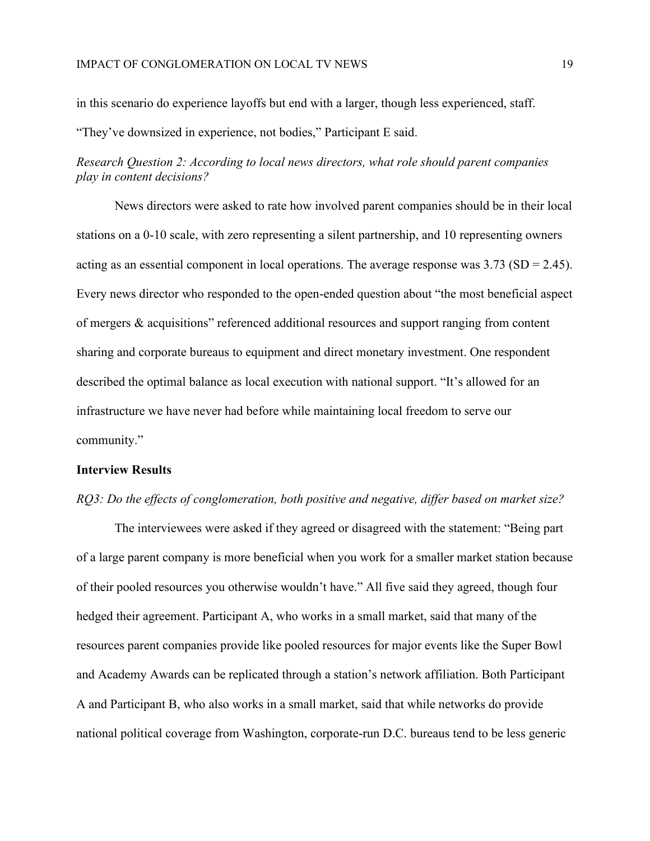in this scenario do experience layoffs but end with a larger, though less experienced, staff.

"They've downsized in experience, not bodies," Participant E said.

*Research Question 2: According to local news directors, what role should parent companies play in content decisions?*

News directors were asked to rate how involved parent companies should be in their local stations on a 0-10 scale, with zero representing a silent partnership, and 10 representing owners acting as an essential component in local operations. The average response was  $3.73$  (SD = 2.45). Every news director who responded to the open-ended question about "the most beneficial aspect of mergers & acquisitions" referenced additional resources and support ranging from content sharing and corporate bureaus to equipment and direct monetary investment. One respondent described the optimal balance as local execution with national support. "It's allowed for an infrastructure we have never had before while maintaining local freedom to serve our community."

# **Interview Results**

# *RQ3: Do the effects of conglomeration, both positive and negative, differ based on market size?*

The interviewees were asked if they agreed or disagreed with the statement: "Being part of a large parent company is more beneficial when you work for a smaller market station because of their pooled resources you otherwise wouldn't have." All five said they agreed, though four hedged their agreement. Participant A, who works in a small market, said that many of the resources parent companies provide like pooled resources for major events like the Super Bowl and Academy Awards can be replicated through a station's network affiliation. Both Participant A and Participant B, who also works in a small market, said that while networks do provide national political coverage from Washington, corporate-run D.C. bureaus tend to be less generic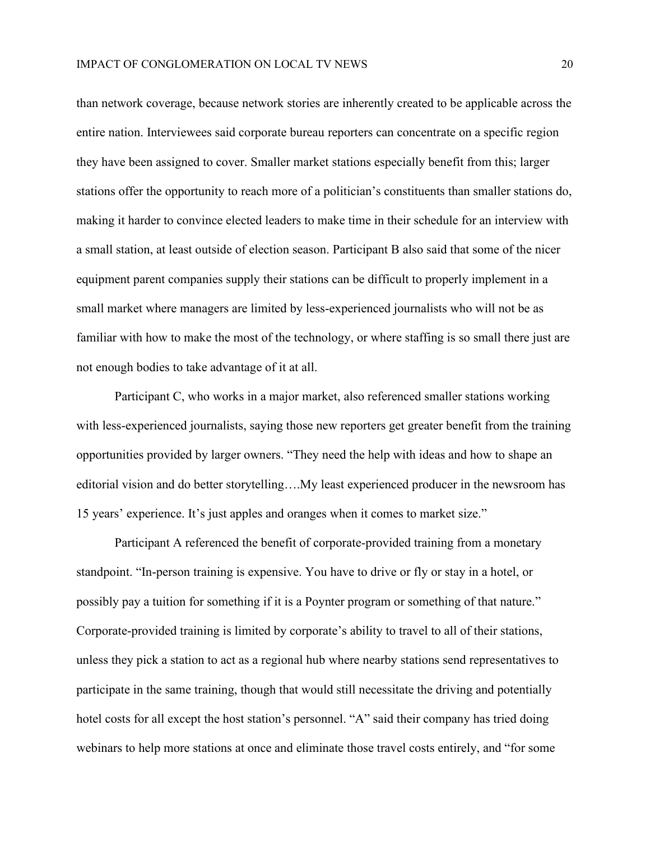than network coverage, because network stories are inherently created to be applicable across the entire nation. Interviewees said corporate bureau reporters can concentrate on a specific region they have been assigned to cover. Smaller market stations especially benefit from this; larger stations offer the opportunity to reach more of a politician's constituents than smaller stations do, making it harder to convince elected leaders to make time in their schedule for an interview with a small station, at least outside of election season. Participant B also said that some of the nicer equipment parent companies supply their stations can be difficult to properly implement in a small market where managers are limited by less-experienced journalists who will not be as familiar with how to make the most of the technology, or where staffing is so small there just are not enough bodies to take advantage of it at all.

Participant C, who works in a major market, also referenced smaller stations working with less-experienced journalists, saying those new reporters get greater benefit from the training opportunities provided by larger owners. "They need the help with ideas and how to shape an editorial vision and do better storytelling….My least experienced producer in the newsroom has 15 years' experience. It's just apples and oranges when it comes to market size."

Participant A referenced the benefit of corporate-provided training from a monetary standpoint. "In-person training is expensive. You have to drive or fly or stay in a hotel, or possibly pay a tuition for something if it is a Poynter program or something of that nature." Corporate-provided training is limited by corporate's ability to travel to all of their stations, unless they pick a station to act as a regional hub where nearby stations send representatives to participate in the same training, though that would still necessitate the driving and potentially hotel costs for all except the host station's personnel. "A" said their company has tried doing webinars to help more stations at once and eliminate those travel costs entirely, and "for some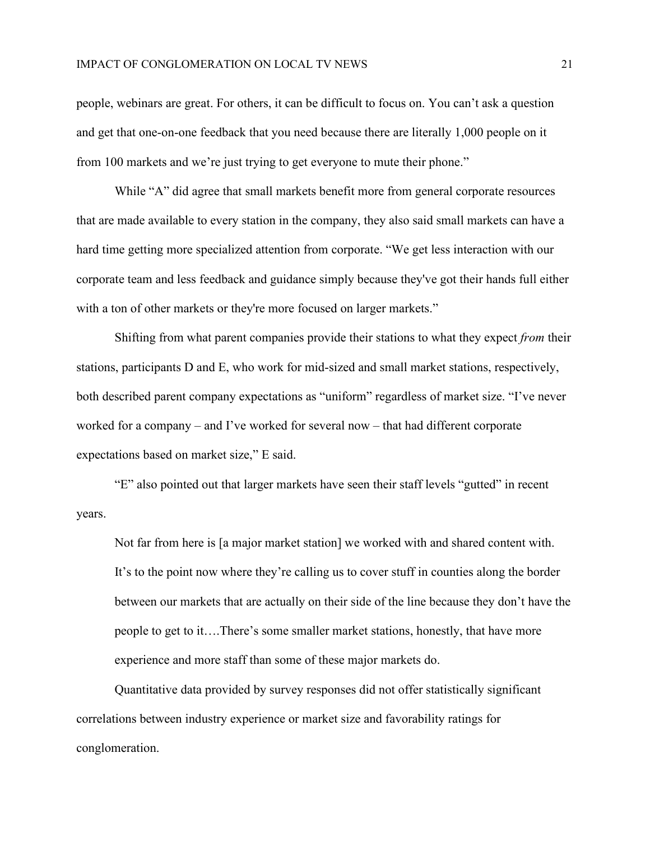people, webinars are great. For others, it can be difficult to focus on. You can't ask a question and get that one-on-one feedback that you need because there are literally 1,000 people on it from 100 markets and we're just trying to get everyone to mute their phone."

While "A" did agree that small markets benefit more from general corporate resources that are made available to every station in the company, they also said small markets can have a hard time getting more specialized attention from corporate. "We get less interaction with our corporate team and less feedback and guidance simply because they've got their hands full either with a ton of other markets or they're more focused on larger markets."

Shifting from what parent companies provide their stations to what they expect *from* their stations, participants D and E, who work for mid-sized and small market stations, respectively, both described parent company expectations as "uniform" regardless of market size. "I've never worked for a company – and I've worked for several now – that had different corporate expectations based on market size," E said.

"E" also pointed out that larger markets have seen their staff levels "gutted" in recent years.

Not far from here is [a major market station] we worked with and shared content with. It's to the point now where they're calling us to cover stuff in counties along the border between our markets that are actually on their side of the line because they don't have the people to get to it….There's some smaller market stations, honestly, that have more experience and more staff than some of these major markets do.

Quantitative data provided by survey responses did not offer statistically significant correlations between industry experience or market size and favorability ratings for conglomeration.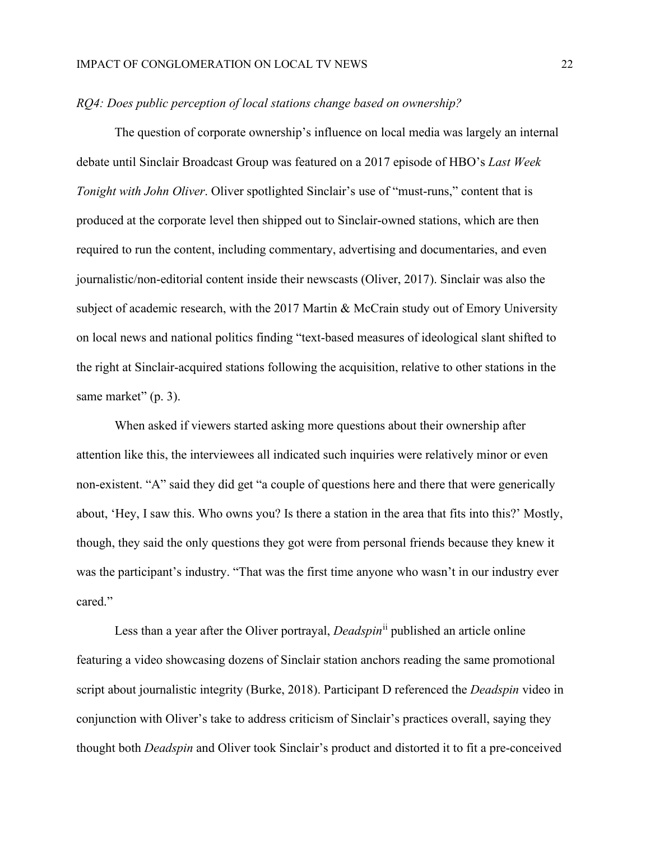#### *RQ4: Does public perception of local stations change based on ownership?*

The question of corporate ownership's influence on local media was largely an internal debate until Sinclair Broadcast Group was featured on a 2017 episode of HBO's *Last Week Tonight with John Oliver*. Oliver spotlighted Sinclair's use of "must-runs," content that is produced at the corporate level then shipped out to Sinclair-owned stations, which are then required to run the content, including commentary, advertising and documentaries, and even journalistic/non-editorial content inside their newscasts (Oliver, 2017). Sinclair was also the subject of academic research, with the 2017 Martin & McCrain study out of Emory University on local news and national politics finding "text-based measures of ideological slant shifted to the right at Sinclair-acquired stations following the acquisition, relative to other stations in the same market" (p. 3).

When asked if viewers started asking more questions about their ownership after attention like this, the interviewees all indicated such inquiries were relatively minor or even non-existent. "A" said they did get "a couple of questions here and there that were generically about, 'Hey, I saw this. Who owns you? Is there a station in the area that fits into this?' Mostly, though, they said the only questions they got were from personal friends because they knew it was the participant's industry. "That was the first time anyone who wasn't in our industry ever cared."

Less than a year after the Oliver portrayal, *Deadspin*[ii](#page-32-1) published an article online featuring a video showcasing dozens of Sinclair station anchors reading the same promotional script about journalistic integrity (Burke, 2018). Participant D referenced the *Deadspin* video in conjunction with Oliver's take to address criticism of Sinclair's practices overall, saying they thought both *Deadspin* and Oliver took Sinclair's product and distorted it to fit a pre-conceived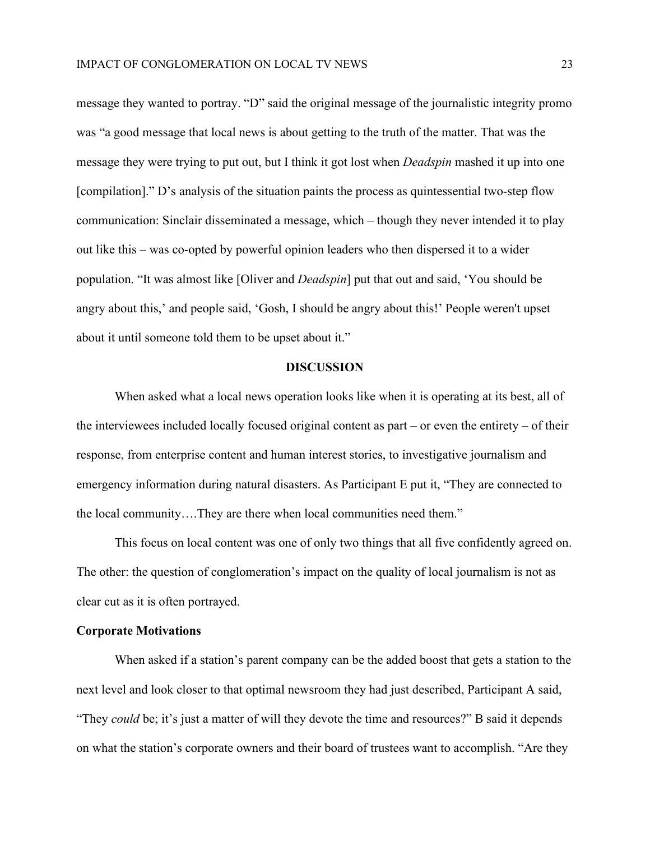message they wanted to portray. "D" said the original message of the journalistic integrity promo was "a good message that local news is about getting to the truth of the matter. That was the message they were trying to put out, but I think it got lost when *Deadspin* mashed it up into one [compilation]." D's analysis of the situation paints the process as quintessential two-step flow communication: Sinclair disseminated a message, which – though they never intended it to play out like this – was co-opted by powerful opinion leaders who then dispersed it to a wider population. "It was almost like [Oliver and *Deadspin*] put that out and said, 'You should be angry about this,' and people said, 'Gosh, I should be angry about this!' People weren't upset about it until someone told them to be upset about it."

#### **DISCUSSION**

When asked what a local news operation looks like when it is operating at its best, all of the interviewees included locally focused original content as part – or even the entirety – of their response, from enterprise content and human interest stories, to investigative journalism and emergency information during natural disasters. As Participant E put it, "They are connected to the local community….They are there when local communities need them."

This focus on local content was one of only two things that all five confidently agreed on. The other: the question of conglomeration's impact on the quality of local journalism is not as clear cut as it is often portrayed.

## **Corporate Motivations**

When asked if a station's parent company can be the added boost that gets a station to the next level and look closer to that optimal newsroom they had just described, Participant A said, "They *could* be; it's just a matter of will they devote the time and resources?" B said it depends on what the station's corporate owners and their board of trustees want to accomplish. "Are they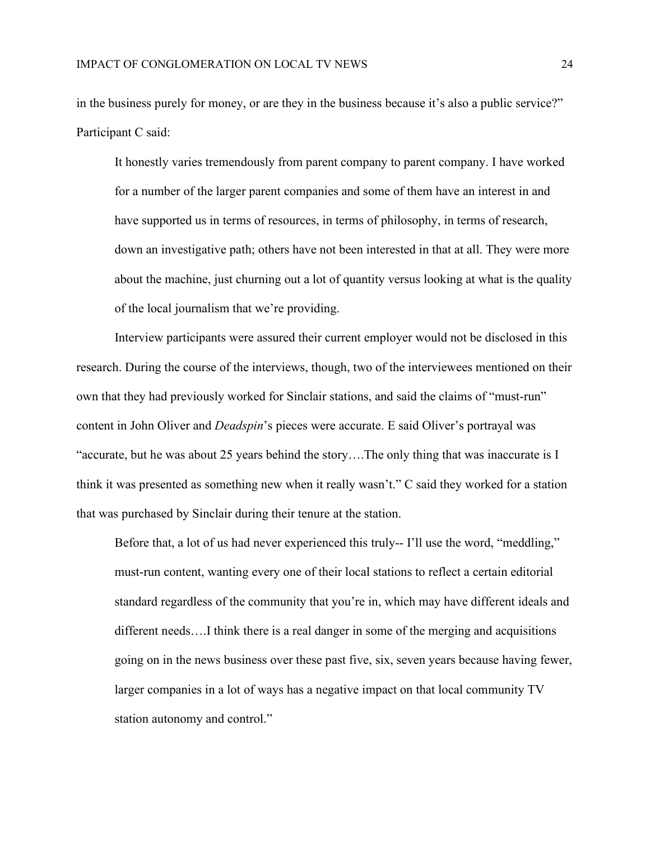in the business purely for money, or are they in the business because it's also a public service?" Participant C said:

It honestly varies tremendously from parent company to parent company. I have worked for a number of the larger parent companies and some of them have an interest in and have supported us in terms of resources, in terms of philosophy, in terms of research, down an investigative path; others have not been interested in that at all. They were more about the machine, just churning out a lot of quantity versus looking at what is the quality of the local journalism that we're providing.

Interview participants were assured their current employer would not be disclosed in this research. During the course of the interviews, though, two of the interviewees mentioned on their own that they had previously worked for Sinclair stations, and said the claims of "must-run" content in John Oliver and *Deadspin*'s pieces were accurate. E said Oliver's portrayal was "accurate, but he was about 25 years behind the story….The only thing that was inaccurate is I think it was presented as something new when it really wasn't." C said they worked for a station that was purchased by Sinclair during their tenure at the station.

Before that, a lot of us had never experienced this truly-- I'll use the word, "meddling," must-run content, wanting every one of their local stations to reflect a certain editorial standard regardless of the community that you're in, which may have different ideals and different needs….I think there is a real danger in some of the merging and acquisitions going on in the news business over these past five, six, seven years because having fewer, larger companies in a lot of ways has a negative impact on that local community TV station autonomy and control."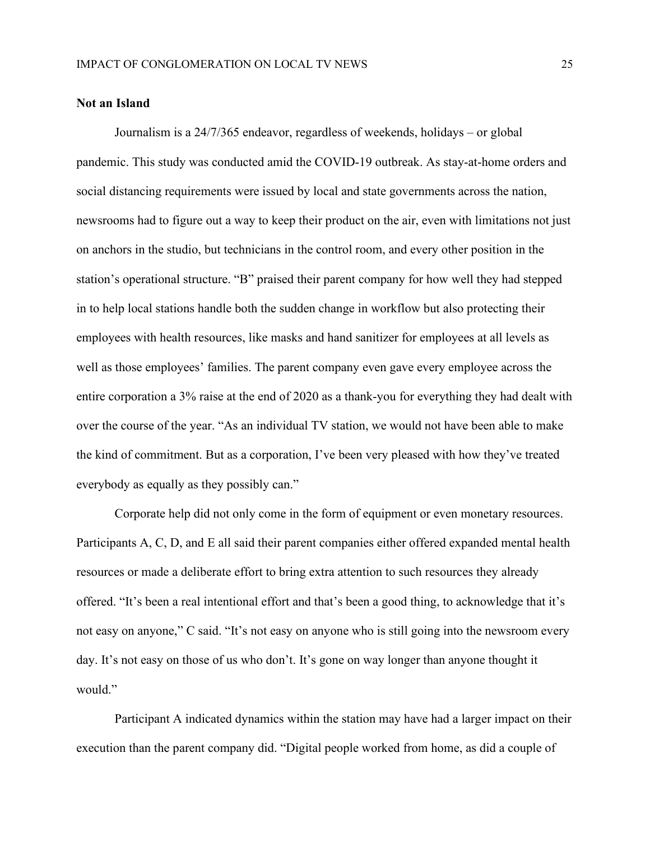#### **Not an Island**

Journalism is a 24/7/365 endeavor, regardless of weekends, holidays – or global pandemic. This study was conducted amid the COVID-19 outbreak. As stay-at-home orders and social distancing requirements were issued by local and state governments across the nation, newsrooms had to figure out a way to keep their product on the air, even with limitations not just on anchors in the studio, but technicians in the control room, and every other position in the station's operational structure. "B" praised their parent company for how well they had stepped in to help local stations handle both the sudden change in workflow but also protecting their employees with health resources, like masks and hand sanitizer for employees at all levels as well as those employees' families. The parent company even gave every employee across the entire corporation a 3% raise at the end of 2020 as a thank-you for everything they had dealt with over the course of the year. "As an individual TV station, we would not have been able to make the kind of commitment. But as a corporation, I've been very pleased with how they've treated everybody as equally as they possibly can."

Corporate help did not only come in the form of equipment or even monetary resources. Participants A, C, D, and E all said their parent companies either offered expanded mental health resources or made a deliberate effort to bring extra attention to such resources they already offered. "It's been a real intentional effort and that's been a good thing, to acknowledge that it's not easy on anyone," C said. "It's not easy on anyone who is still going into the newsroom every day. It's not easy on those of us who don't. It's gone on way longer than anyone thought it would."

Participant A indicated dynamics within the station may have had a larger impact on their execution than the parent company did. "Digital people worked from home, as did a couple of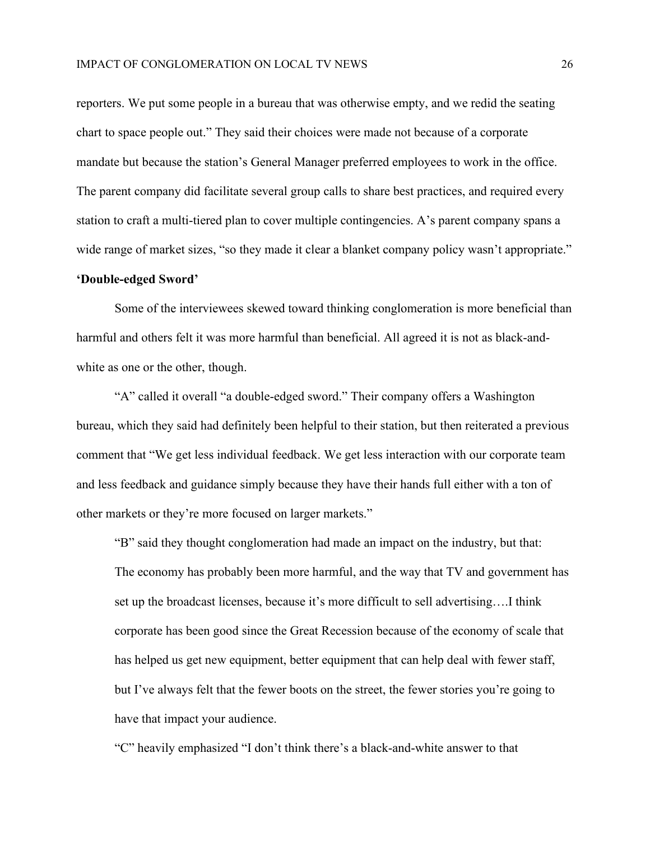reporters. We put some people in a bureau that was otherwise empty, and we redid the seating chart to space people out." They said their choices were made not because of a corporate mandate but because the station's General Manager preferred employees to work in the office. The parent company did facilitate several group calls to share best practices, and required every station to craft a multi-tiered plan to cover multiple contingencies. A's parent company spans a wide range of market sizes, "so they made it clear a blanket company policy wasn't appropriate."

### **'Double-edged Sword'**

Some of the interviewees skewed toward thinking conglomeration is more beneficial than harmful and others felt it was more harmful than beneficial. All agreed it is not as black-andwhite as one or the other, though.

"A" called it overall "a double-edged sword." Their company offers a Washington bureau, which they said had definitely been helpful to their station, but then reiterated a previous comment that "We get less individual feedback. We get less interaction with our corporate team and less feedback and guidance simply because they have their hands full either with a ton of other markets or they're more focused on larger markets."

"B" said they thought conglomeration had made an impact on the industry, but that: The economy has probably been more harmful, and the way that TV and government has set up the broadcast licenses, because it's more difficult to sell advertising….I think corporate has been good since the Great Recession because of the economy of scale that has helped us get new equipment, better equipment that can help deal with fewer staff, but I've always felt that the fewer boots on the street, the fewer stories you're going to have that impact your audience.

"C" heavily emphasized "I don't think there's a black-and-white answer to that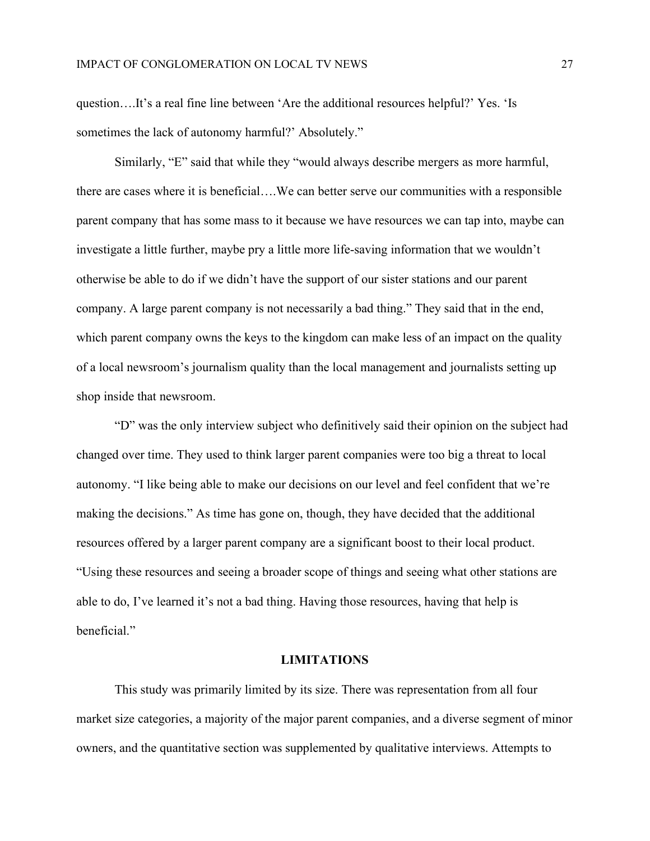question….It's a real fine line between 'Are the additional resources helpful?' Yes. 'Is sometimes the lack of autonomy harmful?' Absolutely."

Similarly, "E" said that while they "would always describe mergers as more harmful, there are cases where it is beneficial….We can better serve our communities with a responsible parent company that has some mass to it because we have resources we can tap into, maybe can investigate a little further, maybe pry a little more life-saving information that we wouldn't otherwise be able to do if we didn't have the support of our sister stations and our parent company. A large parent company is not necessarily a bad thing." They said that in the end, which parent company owns the keys to the kingdom can make less of an impact on the quality of a local newsroom's journalism quality than the local management and journalists setting up shop inside that newsroom.

"D" was the only interview subject who definitively said their opinion on the subject had changed over time. They used to think larger parent companies were too big a threat to local autonomy. "I like being able to make our decisions on our level and feel confident that we're making the decisions." As time has gone on, though, they have decided that the additional resources offered by a larger parent company are a significant boost to their local product. "Using these resources and seeing a broader scope of things and seeing what other stations are able to do, I've learned it's not a bad thing. Having those resources, having that help is beneficial."

## **LIMITATIONS**

This study was primarily limited by its size. There was representation from all four market size categories, a majority of the major parent companies, and a diverse segment of minor owners, and the quantitative section was supplemented by qualitative interviews. Attempts to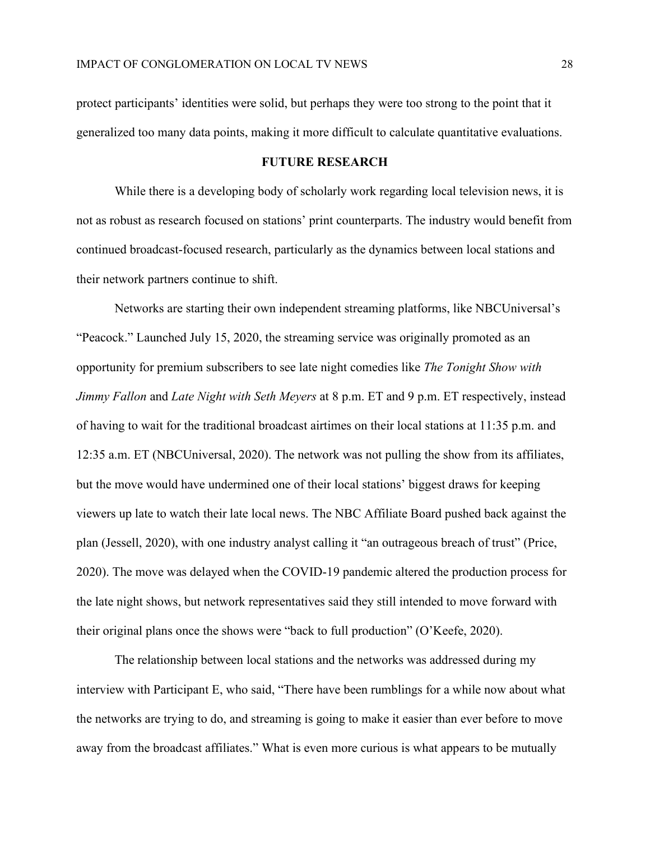protect participants' identities were solid, but perhaps they were too strong to the point that it generalized too many data points, making it more difficult to calculate quantitative evaluations.

## **FUTURE RESEARCH**

While there is a developing body of scholarly work regarding local television news, it is not as robust as research focused on stations' print counterparts. The industry would benefit from continued broadcast-focused research, particularly as the dynamics between local stations and their network partners continue to shift.

Networks are starting their own independent streaming platforms, like NBCUniversal's "Peacock." Launched July 15, 2020, the streaming service was originally promoted as an opportunity for premium subscribers to see late night comedies like *The Tonight Show with Jimmy Fallon* and *Late Night with Seth Meyers* at 8 p.m. ET and 9 p.m. ET respectively, instead of having to wait for the traditional broadcast airtimes on their local stations at 11:35 p.m. and 12:35 a.m. ET (NBCUniversal, 2020). The network was not pulling the show from its affiliates, but the move would have undermined one of their local stations' biggest draws for keeping viewers up late to watch their late local news. The NBC Affiliate Board pushed back against the plan (Jessell, 2020), with one industry analyst calling it "an outrageous breach of trust" (Price, 2020). The move was delayed when the COVID-19 pandemic altered the production process for the late night shows, but network representatives said they still intended to move forward with their original plans once the shows were "back to full production" (O'Keefe, 2020).

The relationship between local stations and the networks was addressed during my interview with Participant E, who said, "There have been rumblings for a while now about what the networks are trying to do, and streaming is going to make it easier than ever before to move away from the broadcast affiliates." What is even more curious is what appears to be mutually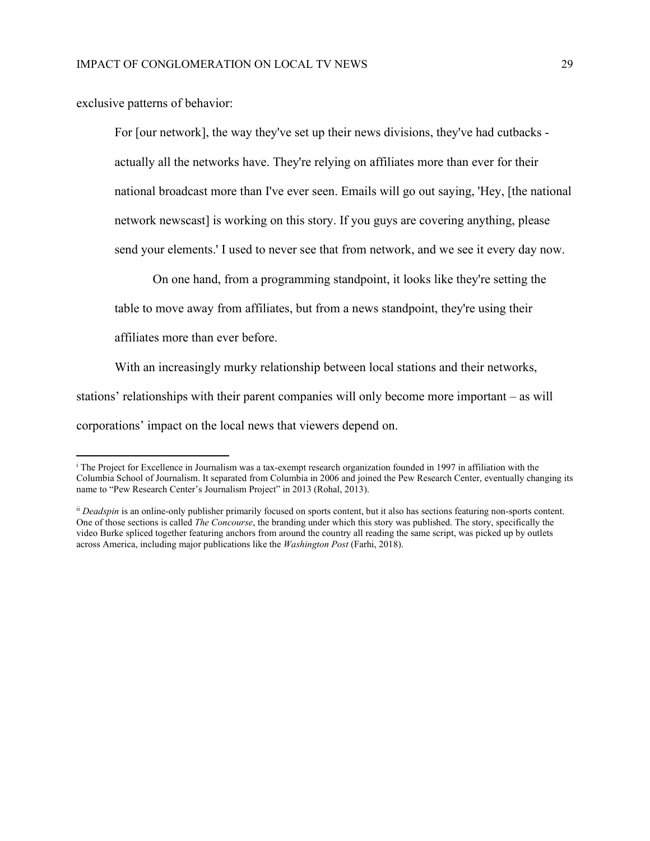exclusive patterns of behavior:

For [our network], the way they've set up their news divisions, they've had cutbacks actually all the networks have. They're relying on affiliates more than ever for their national broadcast more than I've ever seen. Emails will go out saying, 'Hey, [the national network newscast] is working on this story. If you guys are covering anything, please send your elements.' I used to never see that from network, and we see it every day now.

On one hand, from a programming standpoint, it looks like they're setting the table to move away from affiliates, but from a news standpoint, they're using their affiliates more than ever before.

With an increasingly murky relationship between local stations and their networks, stations' relationships with their parent companies will only become more important – as will corporations' impact on the local news that viewers depend on.

<span id="page-32-0"></span><sup>i</sup> The Project for Excellence in Journalism was a tax-exempt research organization founded in 1997 in affiliation with the Columbia School of Journalism. It separated from Columbia in 2006 and joined the Pew Research Center, eventually changing its name to "Pew Research Center's Journalism Project" in 2013 (Rohal, 2013).

<span id="page-32-1"></span>ii *Deadspin* is an online-only publisher primarily focused on sports content, but it also has sections featuring non-sports content. One of those sections is called *The Concourse*, the branding under which this story was published. The story, specifically the video Burke spliced together featuring anchors from around the country all reading the same script, was picked up by outlets across America, including major publications like the *Washington Post* (Farhi, 2018).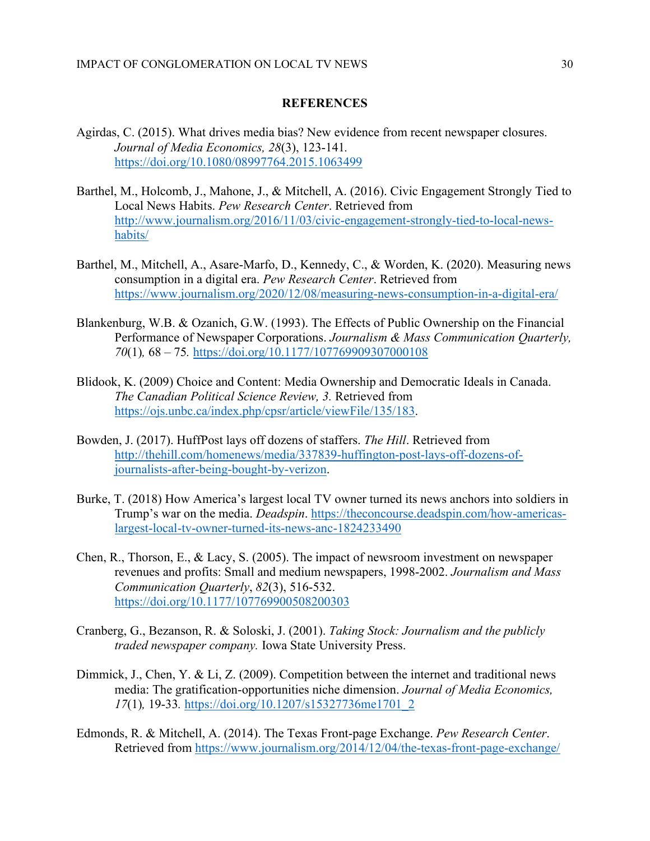#### **REFERENCES**

- Agirdas, C. (2015). What drives media bias? New evidence from recent newspaper closures. *Journal of Media Economics, 28*(3), 123-141*.* <https://doi.org/10.1080/08997764.2015.1063499>
- Barthel, M., Holcomb, J., Mahone, J., & Mitchell, A. (2016). Civic Engagement Strongly Tied to Local News Habits. *Pew Research Center*. Retrieved from [http://www.journalism.org/2016/11/03/civic-engagement-strongly-tied-to-local-news](http://www.journalism.org/2016/11/03/civic-engagement-strongly-tied-to-local-news-habits/)[habits/](http://www.journalism.org/2016/11/03/civic-engagement-strongly-tied-to-local-news-habits/)
- Barthel, M., Mitchell, A., Asare-Marfo, D., Kennedy, C., & Worden, K. (2020). Measuring news consumption in a digital era. *Pew Research Center*. Retrieved from <https://www.journalism.org/2020/12/08/measuring-news-consumption-in-a-digital-era/>
- Blankenburg, W.B. & Ozanich, G.W. (1993). The Effects of Public Ownership on the Financial Performance of Newspaper Corporations. *Journalism & Mass Communication Quarterly, 70*(1)*,* 68 – 75*.* <https://doi.org/10.1177/107769909307000108>
- Blidook, K. (2009) Choice and Content: Media Ownership and Democratic Ideals in Canada. *The Canadian Political Science Review, 3.* Retrieved from [https://ojs.unbc.ca/index.php/cpsr/article/viewFile/135/183.](https://ojs.unbc.ca/index.php/cpsr/article/viewFile/135/183)
- Bowden, J. (2017). HuffPost lays off dozens of staffers. *The Hill*. Retrieved from [http://thehill.com/homenews/media/337839-huffington-post-lays-off-dozens-of](http://thehill.com/homenews/media/337839-huffington-post-lays-off-dozens-of-journalists-after-being-bought-by-verizon)[journalists-after-being-bought-by-verizon.](http://thehill.com/homenews/media/337839-huffington-post-lays-off-dozens-of-journalists-after-being-bought-by-verizon)
- Burke, T. (2018) How America's largest local TV owner turned its news anchors into soldiers in Trump's war on the media. *Deadspin*. [https://theconcourse.deadspin.com/how-americas](https://theconcourse.deadspin.com/how-americas-largest-local-tv-owner-turned-its-news-anc-1824233490)[largest-local-tv-owner-turned-its-news-anc-1824233490](https://theconcourse.deadspin.com/how-americas-largest-local-tv-owner-turned-its-news-anc-1824233490)
- Chen, R., Thorson, E., & Lacy, S. (2005). The impact of newsroom investment on newspaper revenues and profits: Small and medium newspapers, 1998-2002. *Journalism and Mass Communication Quarterly*, *82*(3), 516-532. <https://doi.org/10.1177/107769900508200303>
- Cranberg, G., Bezanson, R. & Soloski, J. (2001). *Taking Stock: Journalism and the publicly traded newspaper company.* Iowa State University Press.
- Dimmick, J., Chen, Y. & Li, Z. (2009). Competition between the internet and traditional news media: The gratification-opportunities niche dimension. *Journal of Media Economics, 17*(1)*,* 19-33*.* [https://doi.org/10.1207/s15327736me1701\\_2](https://doi.org/10.1207/s15327736me1701_2)
- Edmonds, R. & Mitchell, A. (2014). The Texas Front-page Exchange. *Pew Research Center*. Retrieved from<https://www.journalism.org/2014/12/04/the-texas-front-page-exchange/>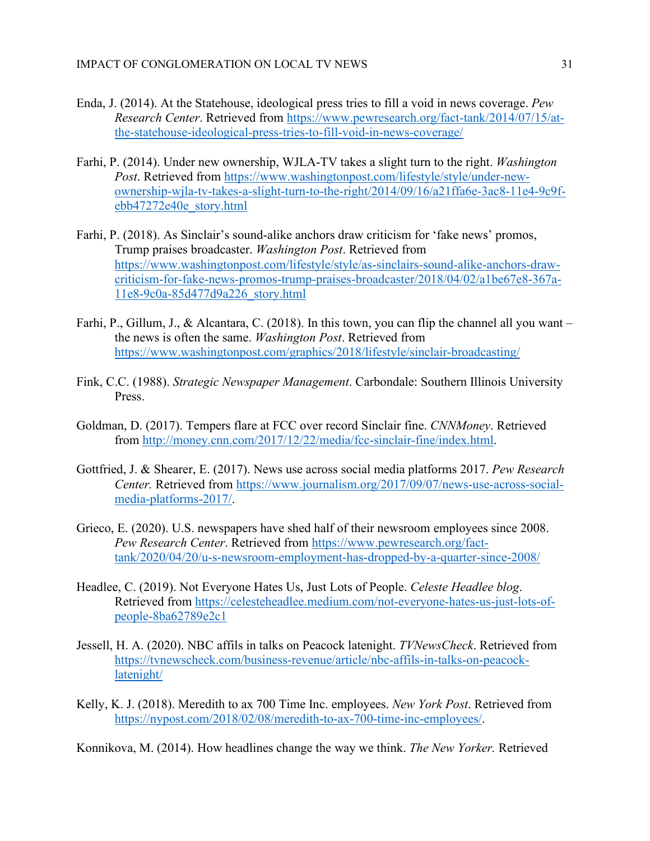- Enda, J. (2014). At the Statehouse, ideological press tries to fill a void in news coverage. *Pew Research Center*. Retrieved from [https://www.pewresearch.org/fact-tank/2014/07/15/at](https://www.pewresearch.org/fact-tank/2014/07/15/at-the-statehouse-ideological-press-tries-to-fill-void-in-news-coverage/)[the-statehouse-ideological-press-tries-to-fill-void-in-news-coverage/](https://www.pewresearch.org/fact-tank/2014/07/15/at-the-statehouse-ideological-press-tries-to-fill-void-in-news-coverage/)
- Farhi, P. (2014). Under new ownership, WJLA-TV takes a slight turn to the right. *Washington Post.* Retrieved from [https://www.washingtonpost.com/lifestyle/style/under-new](https://www.washingtonpost.com/lifestyle/style/under-new-ownership-wjla-tv-takes-a-slight-turn-to-the-right/2014/09/16/a21ffa6e-3ac8-11e4-9c9f-ebb47272e40e_story.html)[ownership-wjla-tv-takes-a-slight-turn-to-the-right/2014/09/16/a21ffa6e-3ac8-11e4-9c9f](https://www.washingtonpost.com/lifestyle/style/under-new-ownership-wjla-tv-takes-a-slight-turn-to-the-right/2014/09/16/a21ffa6e-3ac8-11e4-9c9f-ebb47272e40e_story.html)[ebb47272e40e\\_story.html](https://www.washingtonpost.com/lifestyle/style/under-new-ownership-wjla-tv-takes-a-slight-turn-to-the-right/2014/09/16/a21ffa6e-3ac8-11e4-9c9f-ebb47272e40e_story.html)
- Farhi, P. (2018). As Sinclair's sound-alike anchors draw criticism for 'fake news' promos, Trump praises broadcaster. *Washington Post*. Retrieved from [https://www.washingtonpost.com/lifestyle/style/as-sinclairs-sound-alike-anchors-draw](https://www.washingtonpost.com/lifestyle/style/as-sinclairs-sound-alike-anchors-draw-criticism-for-fake-news-promos-trump-praises-broadcaster/2018/04/02/a1be67e8-367a-11e8-9c0a-85d477d9a226_story.html)[criticism-for-fake-news-promos-trump-praises-broadcaster/2018/04/02/a1be67e8-367a-](https://www.washingtonpost.com/lifestyle/style/as-sinclairs-sound-alike-anchors-draw-criticism-for-fake-news-promos-trump-praises-broadcaster/2018/04/02/a1be67e8-367a-11e8-9c0a-85d477d9a226_story.html)[11e8-9c0a-85d477d9a226\\_story.html](https://www.washingtonpost.com/lifestyle/style/as-sinclairs-sound-alike-anchors-draw-criticism-for-fake-news-promos-trump-praises-broadcaster/2018/04/02/a1be67e8-367a-11e8-9c0a-85d477d9a226_story.html)
- Farhi, P., Gillum, J., & Alcantara, C. (2018). In this town, you can flip the channel all you want the news is often the same. *Washington Post*. Retrieved from <https://www.washingtonpost.com/graphics/2018/lifestyle/sinclair-broadcasting/>
- Fink, C.C. (1988). *Strategic Newspaper Management*. Carbondale: Southern Illinois University Press.
- Goldman, D. (2017). Tempers flare at FCC over record Sinclair fine. *CNNMoney*. Retrieved from [http://money.cnn.com/2017/12/22/media/fcc-sinclair-fine/index.html.](http://money.cnn.com/2017/12/22/media/fcc-sinclair-fine/index.html)
- Gottfried, J. & Shearer, E. (2017). News use across social media platforms 2017. *Pew Research Center.* Retrieved from [https://www.journalism.org/2017/09/07/news-use-across-social](https://www.journalism.org/2017/09/07/news-use-across-social-media-platforms-2017/)[media-platforms-2017/.](https://www.journalism.org/2017/09/07/news-use-across-social-media-platforms-2017/)
- Grieco, E. (2020). U.S. newspapers have shed half of their newsroom employees since 2008. *Pew Research Center*. Retrieved from [https://www.pewresearch.org/fact](https://www.pewresearch.org/fact-tank/2020/04/20/u-s-newsroom-employment-has-dropped-by-a-quarter-since-2008/)[tank/2020/04/20/u-s-newsroom-employment-has-dropped-by-a-quarter-since-2008/](https://www.pewresearch.org/fact-tank/2020/04/20/u-s-newsroom-employment-has-dropped-by-a-quarter-since-2008/)
- Headlee, C. (2019). Not Everyone Hates Us, Just Lots of People. *Celeste Headlee blog*. Retrieved from [https://celesteheadlee.medium.com/not-everyone-hates-us-just-lots-of](https://celesteheadlee.medium.com/not-everyone-hates-us-just-lots-of-people-8ba62789e2c1)[people-8ba62789e2c1](https://celesteheadlee.medium.com/not-everyone-hates-us-just-lots-of-people-8ba62789e2c1)
- Jessell, H. A. (2020). NBC affils in talks on Peacock latenight. *TVNewsCheck*. Retrieved from [https://tvnewscheck.com/business-revenue/article/nbc-affils-in-talks-on-peacock](https://tvnewscheck.com/business-revenue/article/nbc-affils-in-talks-on-peacock-latenight/)[latenight/](https://tvnewscheck.com/business-revenue/article/nbc-affils-in-talks-on-peacock-latenight/)
- Kelly, K. J. (2018). Meredith to ax 700 Time Inc. employees. *New York Post*. Retrieved from [https://nypost.com/2018/02/08/meredith-to-ax-700-time-inc-employees/.](https://nypost.com/2018/02/08/meredith-to-ax-700-time-inc-employees/)

Konnikova, M. (2014). How headlines change the way we think. *The New Yorker.* Retrieved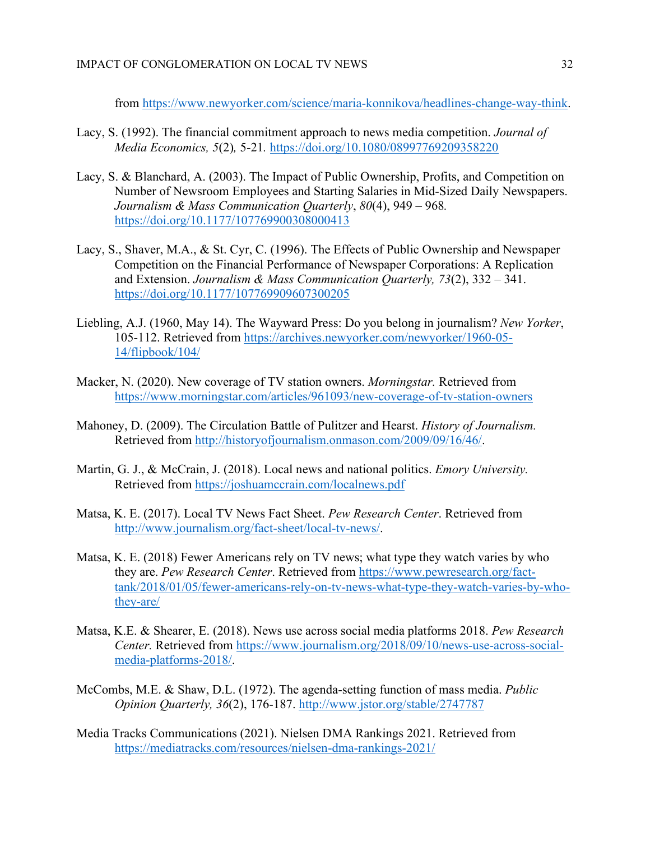from [https://www.newyorker.com/science/maria-konnikova/headlines-change-way-think.](https://www.newyorker.com/science/maria-konnikova/headlines-change-way-think)

- Lacy, S. (1992). The financial commitment approach to news media competition. *Journal of Media Economics, 5*(2)*,* 5-21*.* <https://doi.org/10.1080/08997769209358220>
- Lacy, S. & Blanchard, A. (2003). The Impact of Public Ownership, Profits, and Competition on Number of Newsroom Employees and Starting Salaries in Mid-Sized Daily Newspapers. *Journalism & Mass Communication Quarterly*, *80*(4), 949 – 968*.* <https://doi.org/10.1177/107769900308000413>
- Lacy, S., Shaver, M.A., & St. Cyr, C. (1996). The Effects of Public Ownership and Newspaper Competition on the Financial Performance of Newspaper Corporations: A Replication and Extension. *Journalism & Mass Communication Quarterly, 73*(2), 332 – 341. <https://doi.org/10.1177/107769909607300205>
- Liebling, A.J. (1960, May 14). The Wayward Press: Do you belong in journalism? *New Yorker*, 105-112. Retrieved from [https://archives.newyorker.com/newyorker/1960-05-](https://archives.newyorker.com/newyorker/1960-05-14/flipbook/104/) [14/flipbook/104/](https://archives.newyorker.com/newyorker/1960-05-14/flipbook/104/)
- Macker, N. (2020). New coverage of TV station owners. *Morningstar.* Retrieved from <https://www.morningstar.com/articles/961093/new-coverage-of-tv-station-owners>
- Mahoney, D. (2009). The Circulation Battle of Pulitzer and Hearst. *History of Journalism.* Retrieved from [http://historyofjournalism.onmason.com/2009/09/16/46/.](http://historyofjournalism.onmason.com/2009/09/16/46/)
- Martin, G. J., & McCrain, J. (2018). Local news and national politics. *Emory University.* Retrieved from<https://joshuamccrain.com/localnews.pdf>
- Matsa, K. E. (2017). Local TV News Fact Sheet. *Pew Research Center*. Retrieved from [http://www.journalism.org/fact-sheet/local-tv-news/.](http://www.journalism.org/fact-sheet/local-tv-news/)
- Matsa, K. E. (2018) Fewer Americans rely on TV news; what type they watch varies by who they are. *Pew Research Center*. Retrieved from [https://www.pewresearch.org/fact](https://www.pewresearch.org/fact-tank/2018/01/05/fewer-americans-rely-on-tv-news-what-type-they-watch-varies-by-who-they-are/)[tank/2018/01/05/fewer-americans-rely-on-tv-news-what-type-they-watch-varies-by-who](https://www.pewresearch.org/fact-tank/2018/01/05/fewer-americans-rely-on-tv-news-what-type-they-watch-varies-by-who-they-are/)[they-are/](https://www.pewresearch.org/fact-tank/2018/01/05/fewer-americans-rely-on-tv-news-what-type-they-watch-varies-by-who-they-are/)
- Matsa, K.E. & Shearer, E. (2018). News use across social media platforms 2018. *Pew Research Center.* Retrieved from [https://www.journalism.org/2018/09/10/news-use-across-social](https://www.journalism.org/2018/09/10/news-use-across-social-media-platforms-2018/)[media-platforms-2018/.](https://www.journalism.org/2018/09/10/news-use-across-social-media-platforms-2018/)
- McCombs, M.E. & Shaw, D.L. (1972). The agenda-setting function of mass media. *Public Opinion Quarterly, 36*(2), 176-187.<http://www.jstor.org/stable/2747787>
- Media Tracks Communications (2021). Nielsen DMA Rankings 2021. Retrieved from <https://mediatracks.com/resources/nielsen-dma-rankings-2021/>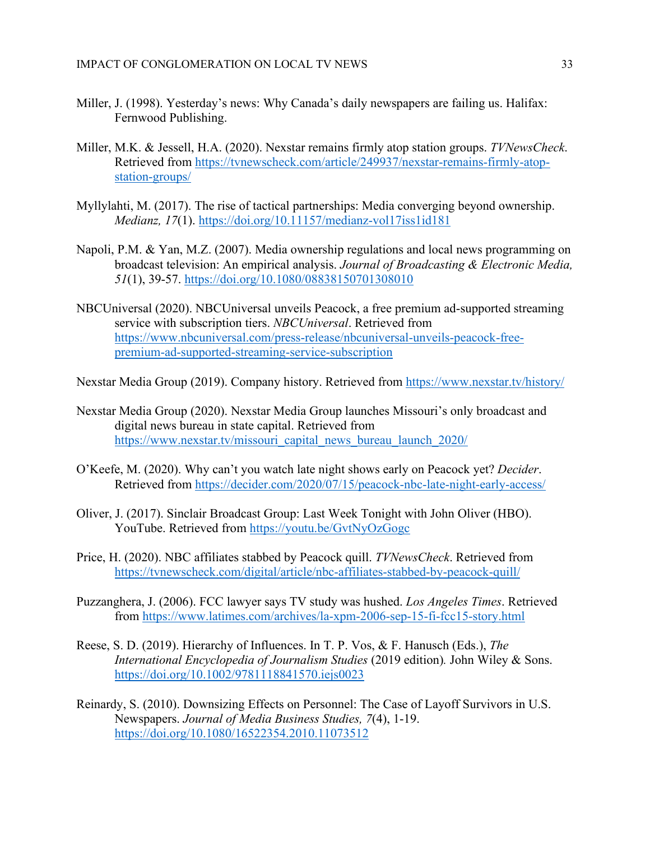- Miller, J. (1998). Yesterday's news: Why Canada's daily newspapers are failing us. Halifax: Fernwood Publishing.
- Miller, M.K. & Jessell, H.A. (2020). Nexstar remains firmly atop station groups. *TVNewsCheck*. Retrieved from [https://tvnewscheck.com/article/249937/nexstar-remains-firmly-atop](https://tvnewscheck.com/article/249937/nexstar-remains-firmly-atop-station-groups/)[station-groups/](https://tvnewscheck.com/article/249937/nexstar-remains-firmly-atop-station-groups/)
- Myllylahti, M. (2017). The rise of tactical partnerships: Media converging beyond ownership. *Medianz, 17*(1).<https://doi.org/10.11157/medianz-vol17iss1id181>
- Napoli, P.M. & Yan, M.Z. (2007). Media ownership regulations and local news programming on broadcast television: An empirical analysis. *Journal of Broadcasting & Electronic Media, 51*(1), 39-57.<https://doi.org/10.1080/08838150701308010>
- NBCUniversal (2020). NBCUniversal unveils Peacock, a free premium ad-supported streaming service with subscription tiers. *NBCUniversal*. Retrieved from [https://www.nbcuniversal.com/press-release/nbcuniversal-unveils-peacock-free](https://www.nbcuniversal.com/press-release/nbcuniversal-unveils-peacock-free-premium-ad-supported-streaming-service-subscription)[premium-ad-supported-streaming-service-subscription](https://www.nbcuniversal.com/press-release/nbcuniversal-unveils-peacock-free-premium-ad-supported-streaming-service-subscription)

Nexstar Media Group (2019). Company history. Retrieved from<https://www.nexstar.tv/history/>

- Nexstar Media Group (2020). Nexstar Media Group launches Missouri's only broadcast and digital news bureau in state capital. Retrieved from [https://www.nexstar.tv/missouri\\_capital\\_news\\_bureau\\_launch\\_2020/](https://www.nexstar.tv/missouri_capital_news_bureau_launch_2020/)
- O'Keefe, M. (2020). Why can't you watch late night shows early on Peacock yet? *Decider*. Retrieved from<https://decider.com/2020/07/15/peacock-nbc-late-night-early-access/>
- Oliver, J. (2017). Sinclair Broadcast Group: Last Week Tonight with John Oliver (HBO). YouTube. Retrieved from<https://youtu.be/GvtNyOzGogc>
- Price, H. (2020). NBC affiliates stabbed by Peacock quill. *TVNewsCheck*. Retrieved from <https://tvnewscheck.com/digital/article/nbc-affiliates-stabbed-by-peacock-quill/>
- Puzzanghera, J. (2006). FCC lawyer says TV study was hushed. *Los Angeles Times*. Retrieved from<https://www.latimes.com/archives/la-xpm-2006-sep-15-fi-fcc15-story.html>
- Reese, S. D. (2019). Hierarchy of Influences. In T. P. Vos, & F. Hanusch (Eds.), *The International Encyclopedia of Journalism Studies* (2019 edition)*.* John Wiley & Sons. <https://doi.org/10.1002/9781118841570.iejs0023>
- Reinardy, S. (2010). Downsizing Effects on Personnel: The Case of Layoff Survivors in U.S. Newspapers. *Journal of Media Business Studies, 7*(4), 1-19. <https://doi.org/10.1080/16522354.2010.11073512>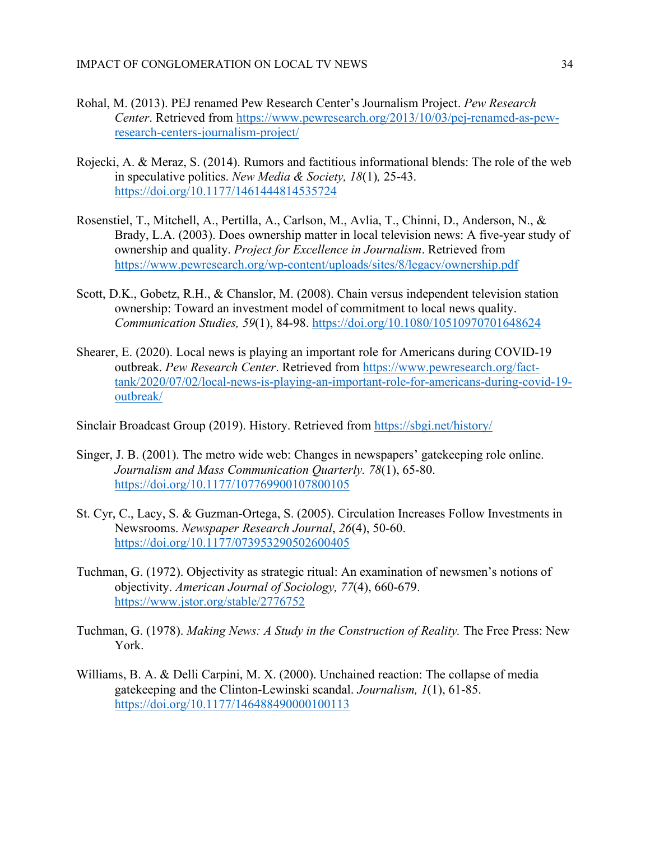- Rohal, M. (2013). PEJ renamed Pew Research Center's Journalism Project. *Pew Research Center*. Retrieved from [https://www.pewresearch.org/2013/10/03/pej-renamed-as-pew](https://www.pewresearch.org/2013/10/03/pej-renamed-as-pew-research-centers-journalism-project/)[research-centers-journalism-project/](https://www.pewresearch.org/2013/10/03/pej-renamed-as-pew-research-centers-journalism-project/)
- Rojecki, A. & Meraz, S. (2014). Rumors and factitious informational blends: The role of the web in speculative politics. *New Media & Society, 18*(1)*,* 25-43. <https://doi.org/10.1177/1461444814535724>
- Rosenstiel, T., Mitchell, A., Pertilla, A., Carlson, M., Avlia, T., Chinni, D., Anderson, N., & Brady, L.A. (2003). Does ownership matter in local television news: A five-year study of ownership and quality. *Project for Excellence in Journalism*. Retrieved from <https://www.pewresearch.org/wp-content/uploads/sites/8/legacy/ownership.pdf>
- Scott, D.K., Gobetz, R.H., & Chanslor, M. (2008). Chain versus independent television station ownership: Toward an investment model of commitment to local news quality. *Communication Studies, 59*(1), 84-98.<https://doi.org/10.1080/10510970701648624>
- Shearer, E. (2020). Local news is playing an important role for Americans during COVID-19 outbreak. *Pew Research Center*. Retrieved from [https://www.pewresearch.org/fact](https://www.pewresearch.org/fact-tank/2020/07/02/local-news-is-playing-an-important-role-for-americans-during-covid-19-outbreak/)[tank/2020/07/02/local-news-is-playing-an-important-role-for-americans-during-covid-19](https://www.pewresearch.org/fact-tank/2020/07/02/local-news-is-playing-an-important-role-for-americans-during-covid-19-outbreak/) [outbreak/](https://www.pewresearch.org/fact-tank/2020/07/02/local-news-is-playing-an-important-role-for-americans-during-covid-19-outbreak/)

Sinclair Broadcast Group (2019). History. Retrieved from<https://sbgi.net/history/>

- Singer, J. B. (2001). The metro wide web: Changes in newspapers' gatekeeping role online. *Journalism and Mass Communication Quarterly. 78*(1), 65-80. <https://doi.org/10.1177/107769900107800105>
- St. Cyr, C., Lacy, S. & Guzman-Ortega, S. (2005). Circulation Increases Follow Investments in Newsrooms. *Newspaper Research Journal*, *26*(4), 50-60. <https://doi.org/10.1177/073953290502600405>
- Tuchman, G. (1972). Objectivity as strategic ritual: An examination of newsmen's notions of objectivity. *American Journal of Sociology, 77*(4), 660-679. <https://www.jstor.org/stable/2776752>
- Tuchman, G. (1978). *Making News: A Study in the Construction of Reality.* The Free Press: New York.
- Williams, B. A. & Delli Carpini, M. X. (2000). Unchained reaction: The collapse of media gatekeeping and the Clinton-Lewinski scandal. *Journalism, 1*(1), 61-85. <https://doi.org/10.1177/146488490000100113>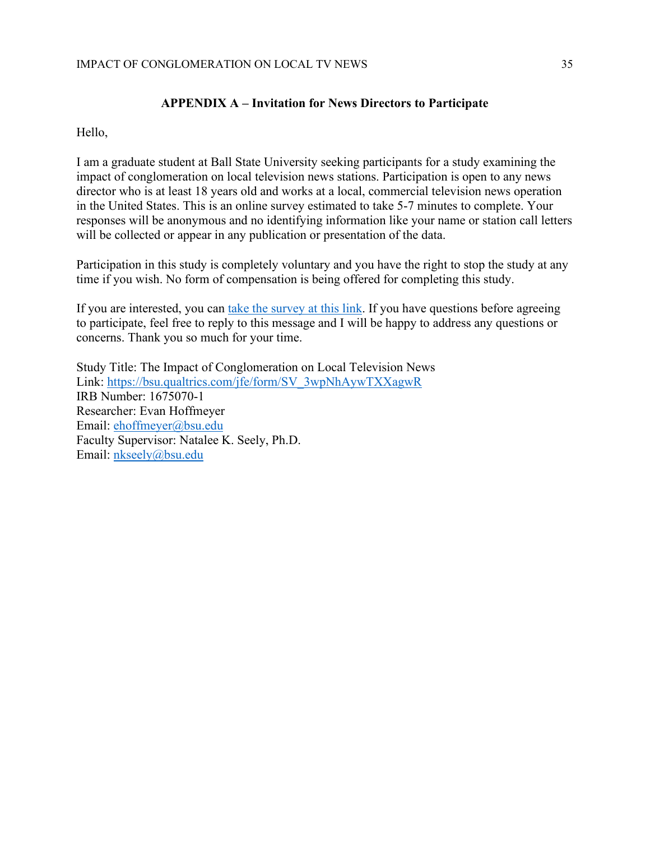# **APPENDIX A – Invitation for News Directors to Participate**

Hello,

I am a graduate student at Ball State University seeking participants for a study examining the impact of conglomeration on local television news stations. Participation is open to any news director who is at least 18 years old and works at a local, commercial television news operation in the United States. This is an online survey estimated to take 5-7 minutes to complete. Your responses will be anonymous and no identifying information like your name or station call letters will be collected or appear in any publication or presentation of the data.

Participation in this study is completely voluntary and you have the right to stop the study at any time if you wish. No form of compensation is being offered for completing this study.

If you are interested, you can take the [survey](https://bsu.qualtrics.com/jfe/form/SV_3wpNhAywTXXagwR) at this link. If you have questions before agreeing to participate, feel free to reply to this message and I will be happy to address any questions or concerns. Thank you so much for your time.

Study Title: The Impact of Conglomeration on Local Television News Link: [https://bsu.qualtrics.com/jfe/form/SV\\_3wpNhAywTXXagwR](https://bsu.qualtrics.com/jfe/form/SV_3wpNhAywTXXagwR) IRB Number: 1675070-1 Researcher: Evan Hoffmeyer Email: [ehoffmeyer@bsu.edu](mailto:ehoffmeyer@bsu.edu) Faculty Supervisor: Natalee K. Seely, Ph.D. Email: [nkseely@bsu.edu](mailto:nkseely@bsu.edu)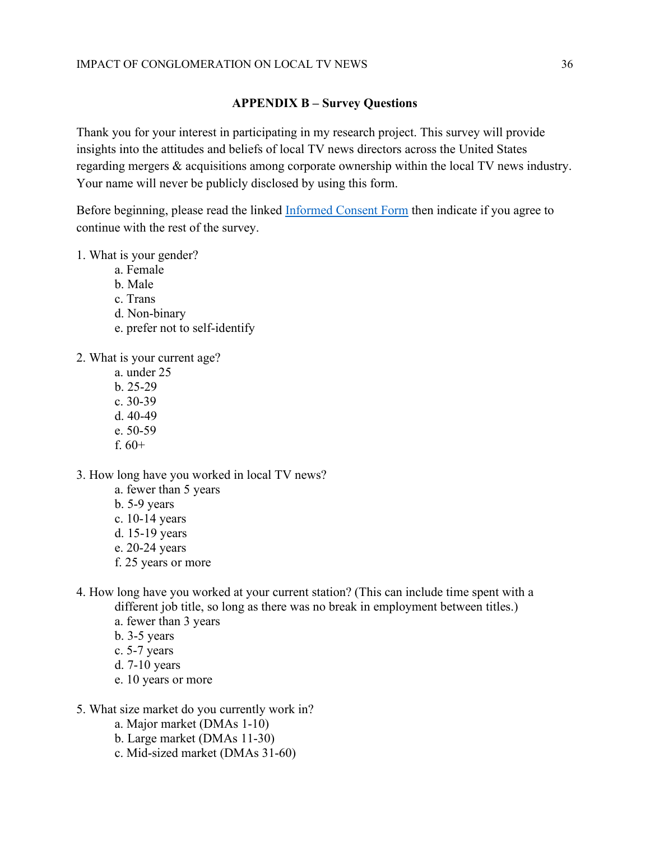# **APPENDIX B – Survey Questions**

Thank you for your interest in participating in my research project. This survey will provide insights into the attitudes and beliefs of local TV news directors across the United States regarding mergers & acquisitions among corporate ownership within the local TV news industry. Your name will never be publicly disclosed by using this form.

Before beginning, please read the linked [Informed Consent Form](https://bsu.ca1.qualtrics.com/WRQualtricsControlPanel/File.php?F=F_1YZn1LrX9186RG5) then indicate if you agree to continue with the rest of the survey.

# 1. What is your gender?

- a. Female
- b. Male
- c. Trans
- d. Non-binary
- e. prefer not to self-identify
- 2. What is your current age?
	- a. under 25
	- b. 25-29
	- c. 30-39
	- d. 40-49
	- e. 50-59
	- f.  $60+$
- 3. How long have you worked in local TV news?
	- a. fewer than 5 years
	- b. 5-9 years
	- c. 10-14 years
	- d. 15-19 years
	- e. 20-24 years
	- f. 25 years or more
- 4. How long have you worked at your current station? (This can include time spent with a different job title, so long as there was no break in employment between titles.)
	- a. fewer than 3 years
	- b. 3-5 years
	- c. 5-7 years
	- d. 7-10 years
	- e. 10 years or more
- 5. What size market do you currently work in?
	- a. Major market (DMAs 1-10)
	- b. Large market (DMAs 11-30)
	- c. Mid-sized market (DMAs 31-60)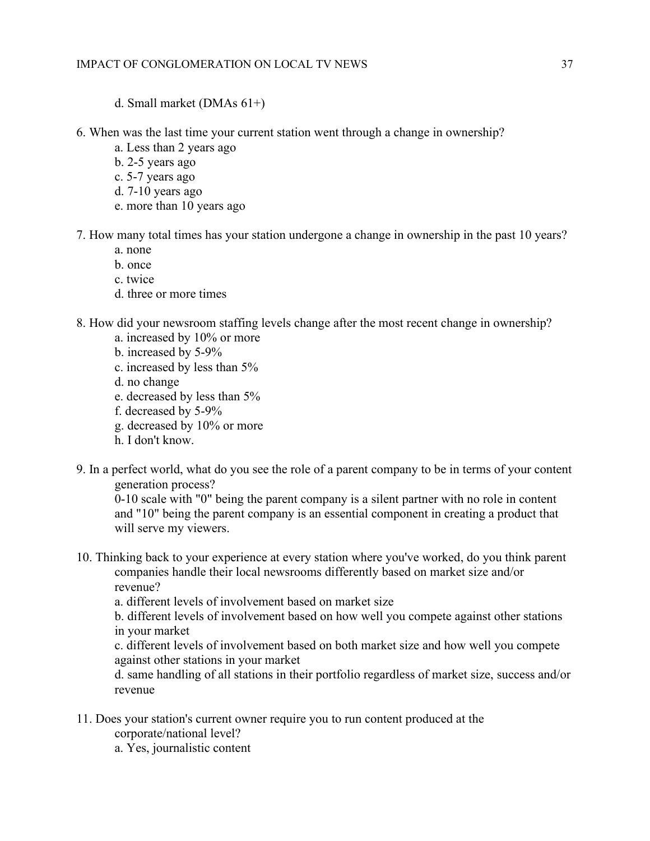- d. Small market (DMAs 61+)
- 6. When was the last time your current station went through a change in ownership?
	- a. Less than 2 years ago
	- b. 2-5 years ago
	- c. 5-7 years ago
	- d. 7-10 years ago
	- e. more than 10 years ago
- 7. How many total times has your station undergone a change in ownership in the past 10 years?
	- a. none
	- b. once
	- c. twice
	- d. three or more times
- 8. How did your newsroom staffing levels change after the most recent change in ownership?
	- a. increased by 10% or more
	- b. increased by 5-9%
	- c. increased by less than 5%
	- d. no change
	- e. decreased by less than 5%
	- f. decreased by 5-9%
	- g. decreased by 10% or more
	- h. I don't know.
- 9. In a perfect world, what do you see the role of a parent company to be in terms of your content generation process?

0-10 scale with "0" being the parent company is a silent partner with no role in content and "10" being the parent company is an essential component in creating a product that will serve my viewers.

10. Thinking back to your experience at every station where you've worked, do you think parent companies handle their local newsrooms differently based on market size and/or revenue?

a. different levels of involvement based on market size

b. different levels of involvement based on how well you compete against other stations in your market

c. different levels of involvement based on both market size and how well you compete against other stations in your market

d. same handling of all stations in their portfolio regardless of market size, success and/or revenue

- 11. Does your station's current owner require you to run content produced at the
	- corporate/national level?
	- a. Yes, journalistic content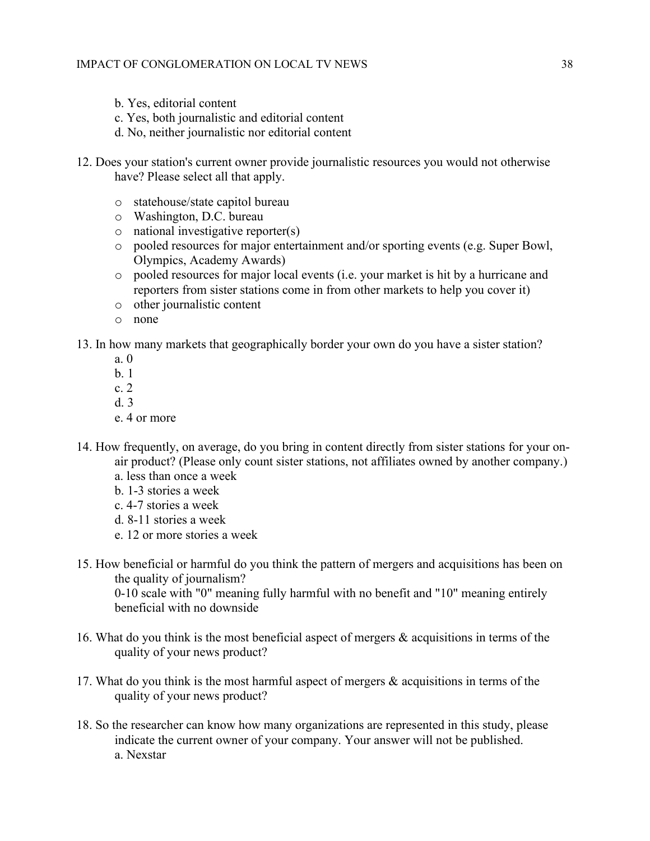- b. Yes, editorial content
- c. Yes, both journalistic and editorial content
- d. No, neither journalistic nor editorial content
- 12. Does your station's current owner provide journalistic resources you would not otherwise have? Please select all that apply.
	- o statehouse/state capitol bureau
	- o Washington, D.C. bureau
	- o national investigative reporter(s)
	- o pooled resources for major entertainment and/or sporting events (e.g. Super Bowl, Olympics, Academy Awards)
	- o pooled resources for major local events (i.e. your market is hit by a hurricane and reporters from sister stations come in from other markets to help you cover it)
	- o other journalistic content
	- o none

13. In how many markets that geographically border your own do you have a sister station?

- a. 0
- b. 1
- c. 2
- d. 3
- e. 4 or more
- 14. How frequently, on average, do you bring in content directly from sister stations for your onair product? (Please only count sister stations, not affiliates owned by another company.) a. less than once a week
	- b. 1-3 stories a week
	- c. 4-7 stories a week
	- d. 8-11 stories a week
	- e. 12 or more stories a week
- 15. How beneficial or harmful do you think the pattern of mergers and acquisitions has been on the quality of journalism? 0-10 scale with "0" meaning fully harmful with no benefit and "10" meaning entirely

beneficial with no downside

- 16. What do you think is the most beneficial aspect of mergers & acquisitions in terms of the quality of your news product?
- 17. What do you think is the most harmful aspect of mergers & acquisitions in terms of the quality of your news product?
- 18. So the researcher can know how many organizations are represented in this study, please indicate the current owner of your company. Your answer will not be published. a. Nexstar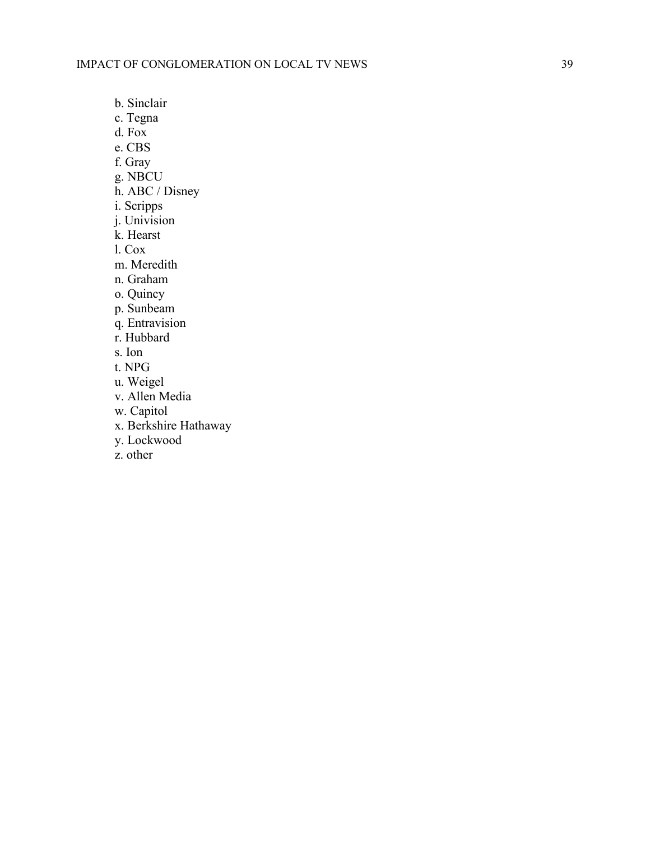b. Sinclair

c. Tegna

d. Fox

e. CBS

f. Gray

g. NBCU

h. ABC / Disney

i. Scripps

j. Univision

k. Hearst

l. Cox

m. Meredith

n. Graham

o. Quincy

p. Sunbeam

q. Entravision

r. Hubbard

s. Ion

t. NPG

u. Weigel

v. Allen Media

w. Capitol

x. Berkshire Hathaway

y. Lockwood

z. other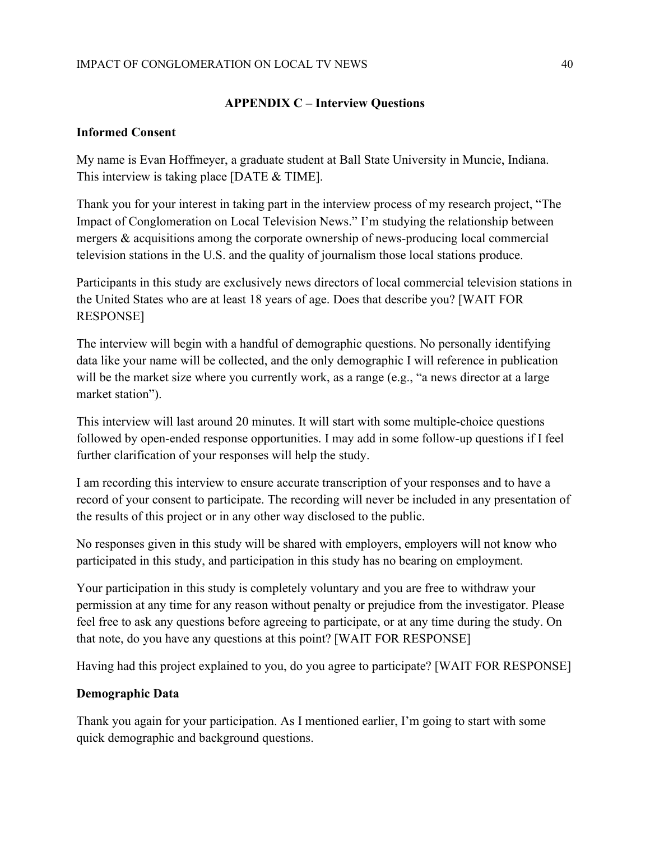# IMPACT OF CONGLOMERATION ON LOCAL TV NEWS 40

# **APPENDIX C – Interview Questions**

# **Informed Consent**

My name is Evan Hoffmeyer, a graduate student at Ball State University in Muncie, Indiana. This interview is taking place [DATE & TIME].

Thank you for your interest in taking part in the interview process of my research project, "The Impact of Conglomeration on Local Television News." I'm studying the relationship between mergers & acquisitions among the corporate ownership of news-producing local commercial television stations in the U.S. and the quality of journalism those local stations produce.

Participants in this study are exclusively news directors of local commercial television stations in the United States who are at least 18 years of age. Does that describe you? [WAIT FOR RESPONSE]

The interview will begin with a handful of demographic questions. No personally identifying data like your name will be collected, and the only demographic I will reference in publication will be the market size where you currently work, as a range (e.g., "a news director at a large market station").

This interview will last around 20 minutes. It will start with some multiple-choice questions followed by open-ended response opportunities. I may add in some follow-up questions if I feel further clarification of your responses will help the study.

I am recording this interview to ensure accurate transcription of your responses and to have a record of your consent to participate. The recording will never be included in any presentation of the results of this project or in any other way disclosed to the public.

No responses given in this study will be shared with employers, employers will not know who participated in this study, and participation in this study has no bearing on employment.

Your participation in this study is completely voluntary and you are free to withdraw your permission at any time for any reason without penalty or prejudice from the investigator. Please feel free to ask any questions before agreeing to participate, or at any time during the study. On that note, do you have any questions at this point? [WAIT FOR RESPONSE]

Having had this project explained to you, do you agree to participate? [WAIT FOR RESPONSE]

# **Demographic Data**

Thank you again for your participation. As I mentioned earlier, I'm going to start with some quick demographic and background questions.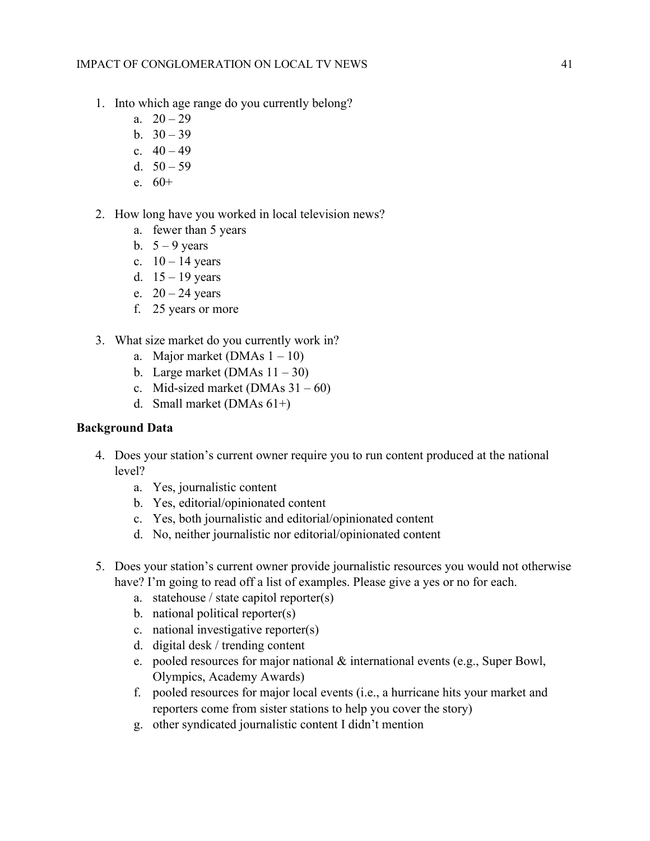- 1. Into which age range do you currently belong?
	- a.  $20 29$
	- b.  $30 39$
	- c.  $40 49$
	- d.  $50 59$
	- e. 60+
- 2. How long have you worked in local television news?
	- a. fewer than 5 years
	- b.  $5 9$  years
	- c.  $10 14$  years
	- d.  $15 19$  years
	- e.  $20 24$  years
	- f. 25 years or more
- 3. What size market do you currently work in?
	- a. Major market (DMAs  $1 10$ )
	- b. Large market (DMAs  $11 30$ )
	- c. Mid-sized market (DMAs  $31 60$ )
	- d. Small market (DMAs 61+)

# **Background Data**

- 4. Does your station's current owner require you to run content produced at the national level?
	- a. Yes, journalistic content
	- b. Yes, editorial/opinionated content
	- c. Yes, both journalistic and editorial/opinionated content
	- d. No, neither journalistic nor editorial/opinionated content
- 5. Does your station's current owner provide journalistic resources you would not otherwise have? I'm going to read off a list of examples. Please give a yes or no for each.
	- a. statehouse / state capitol reporter(s)
	- b. national political reporter(s)
	- c. national investigative reporter(s)
	- d. digital desk / trending content
	- e. pooled resources for major national & international events (e.g., Super Bowl, Olympics, Academy Awards)
	- f. pooled resources for major local events (i.e., a hurricane hits your market and reporters come from sister stations to help you cover the story)
	- g. other syndicated journalistic content I didn't mention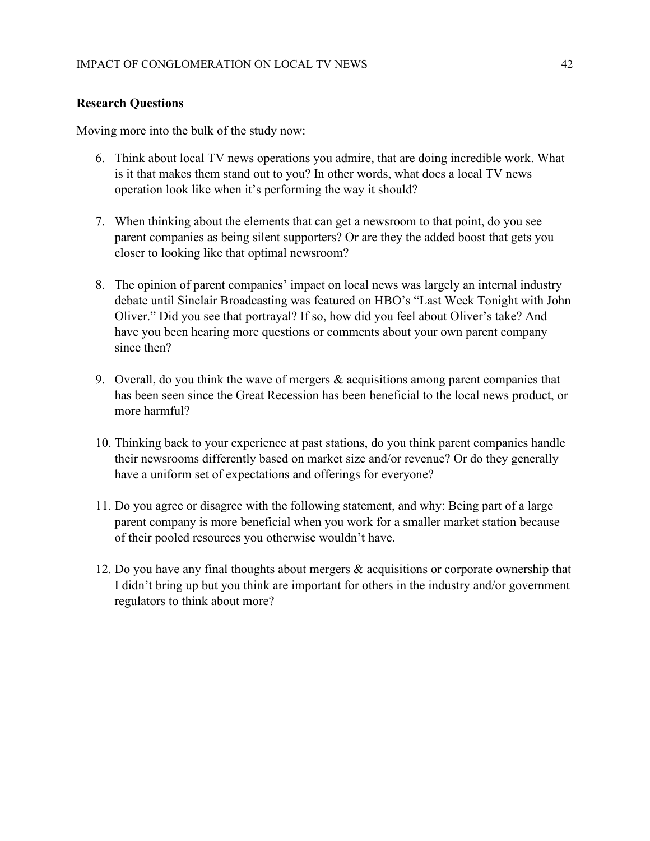# **Research Questions**

Moving more into the bulk of the study now:

- 6. Think about local TV news operations you admire, that are doing incredible work. What is it that makes them stand out to you? In other words, what does a local TV news operation look like when it's performing the way it should?
- 7. When thinking about the elements that can get a newsroom to that point, do you see parent companies as being silent supporters? Or are they the added boost that gets you closer to looking like that optimal newsroom?
- 8. The opinion of parent companies' impact on local news was largely an internal industry debate until Sinclair Broadcasting was featured on HBO's "Last Week Tonight with John Oliver." Did you see that portrayal? If so, how did you feel about Oliver's take? And have you been hearing more questions or comments about your own parent company since then?
- 9. Overall, do you think the wave of mergers  $\&$  acquisitions among parent companies that has been seen since the Great Recession has been beneficial to the local news product, or more harmful?
- 10. Thinking back to your experience at past stations, do you think parent companies handle their newsrooms differently based on market size and/or revenue? Or do they generally have a uniform set of expectations and offerings for everyone?
- 11. Do you agree or disagree with the following statement, and why: Being part of a large parent company is more beneficial when you work for a smaller market station because of their pooled resources you otherwise wouldn't have.
- 12. Do you have any final thoughts about mergers & acquisitions or corporate ownership that I didn't bring up but you think are important for others in the industry and/or government regulators to think about more?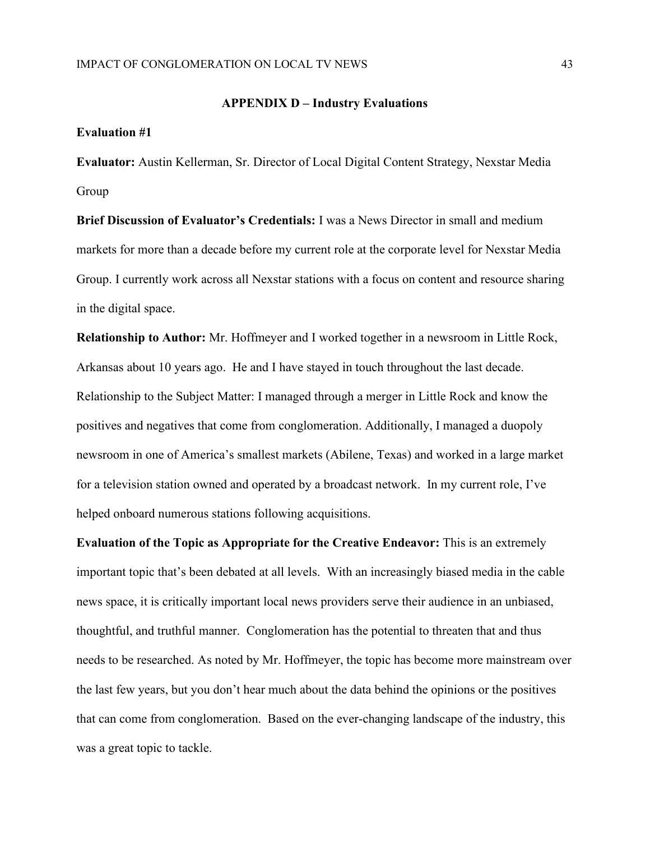### **APPENDIX D – Industry Evaluations**

#### **Evaluation #1**

**Evaluator:** Austin Kellerman, Sr. Director of Local Digital Content Strategy, Nexstar Media Group

**Brief Discussion of Evaluator's Credentials:** I was a News Director in small and medium markets for more than a decade before my current role at the corporate level for Nexstar Media Group. I currently work across all Nexstar stations with a focus on content and resource sharing in the digital space.

**Relationship to Author:** Mr. Hoffmeyer and I worked together in a newsroom in Little Rock, Arkansas about 10 years ago. He and I have stayed in touch throughout the last decade. Relationship to the Subject Matter: I managed through a merger in Little Rock and know the positives and negatives that come from conglomeration. Additionally, I managed a duopoly newsroom in one of America's smallest markets (Abilene, Texas) and worked in a large market for a television station owned and operated by a broadcast network. In my current role, I've helped onboard numerous stations following acquisitions.

**Evaluation of the Topic as Appropriate for the Creative Endeavor:** This is an extremely important topic that's been debated at all levels. With an increasingly biased media in the cable news space, it is critically important local news providers serve their audience in an unbiased, thoughtful, and truthful manner. Conglomeration has the potential to threaten that and thus needs to be researched. As noted by Mr. Hoffmeyer, the topic has become more mainstream over the last few years, but you don't hear much about the data behind the opinions or the positives that can come from conglomeration. Based on the ever-changing landscape of the industry, this was a great topic to tackle.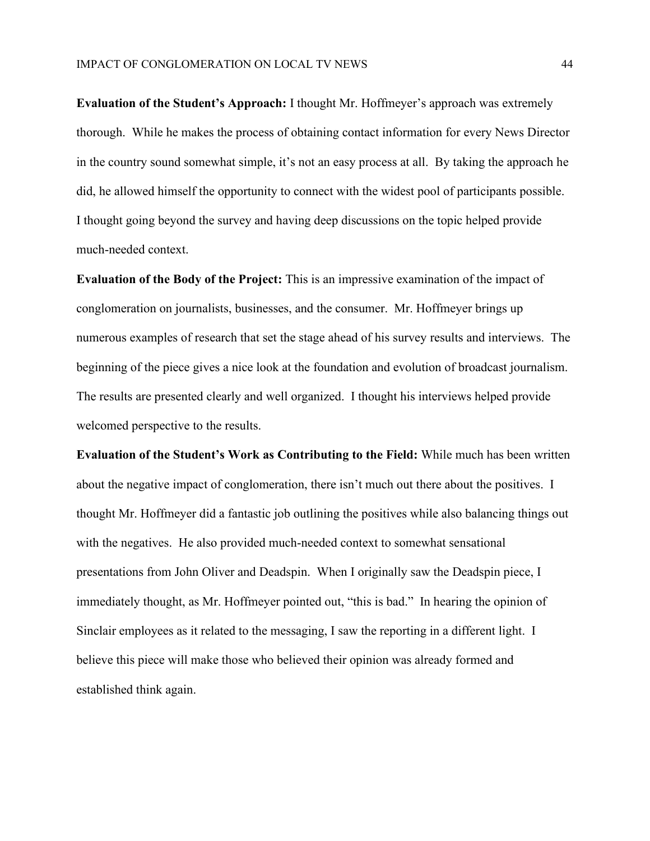**Evaluation of the Student's Approach:** I thought Mr. Hoffmeyer's approach was extremely thorough. While he makes the process of obtaining contact information for every News Director in the country sound somewhat simple, it's not an easy process at all. By taking the approach he did, he allowed himself the opportunity to connect with the widest pool of participants possible. I thought going beyond the survey and having deep discussions on the topic helped provide much-needed context.

**Evaluation of the Body of the Project:** This is an impressive examination of the impact of conglomeration on journalists, businesses, and the consumer. Mr. Hoffmeyer brings up numerous examples of research that set the stage ahead of his survey results and interviews. The beginning of the piece gives a nice look at the foundation and evolution of broadcast journalism. The results are presented clearly and well organized. I thought his interviews helped provide welcomed perspective to the results.

**Evaluation of the Student's Work as Contributing to the Field:** While much has been written about the negative impact of conglomeration, there isn't much out there about the positives. I thought Mr. Hoffmeyer did a fantastic job outlining the positives while also balancing things out with the negatives. He also provided much-needed context to somewhat sensational presentations from John Oliver and Deadspin. When I originally saw the Deadspin piece, I immediately thought, as Mr. Hoffmeyer pointed out, "this is bad." In hearing the opinion of Sinclair employees as it related to the messaging, I saw the reporting in a different light. I believe this piece will make those who believed their opinion was already formed and established think again.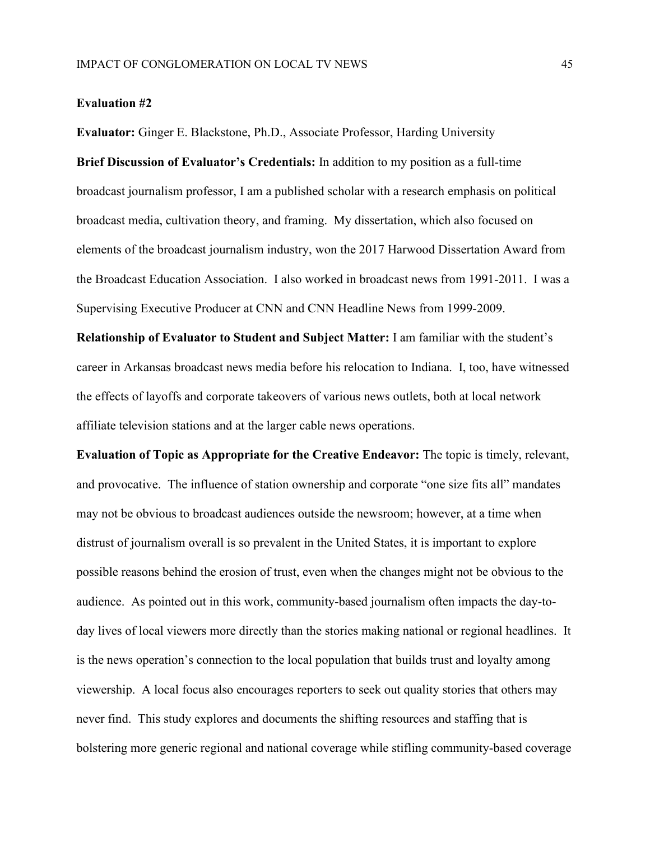#### **Evaluation #2**

**Evaluator:** Ginger E. Blackstone, Ph.D., Associate Professor, Harding University **Brief Discussion of Evaluator's Credentials:** In addition to my position as a full-time broadcast journalism professor, I am a published scholar with a research emphasis on political broadcast media, cultivation theory, and framing. My dissertation, which also focused on elements of the broadcast journalism industry, won the 2017 Harwood Dissertation Award from the Broadcast Education Association. I also worked in broadcast news from 1991-2011. I was a Supervising Executive Producer at CNN and CNN Headline News from 1999-2009.

**Relationship of Evaluator to Student and Subject Matter:** I am familiar with the student's career in Arkansas broadcast news media before his relocation to Indiana. I, too, have witnessed the effects of layoffs and corporate takeovers of various news outlets, both at local network affiliate television stations and at the larger cable news operations.

**Evaluation of Topic as Appropriate for the Creative Endeavor:** The topic is timely, relevant, and provocative. The influence of station ownership and corporate "one size fits all" mandates may not be obvious to broadcast audiences outside the newsroom; however, at a time when distrust of journalism overall is so prevalent in the United States, it is important to explore possible reasons behind the erosion of trust, even when the changes might not be obvious to the audience. As pointed out in this work, community-based journalism often impacts the day-today lives of local viewers more directly than the stories making national or regional headlines. It is the news operation's connection to the local population that builds trust and loyalty among viewership. A local focus also encourages reporters to seek out quality stories that others may never find. This study explores and documents the shifting resources and staffing that is bolstering more generic regional and national coverage while stifling community-based coverage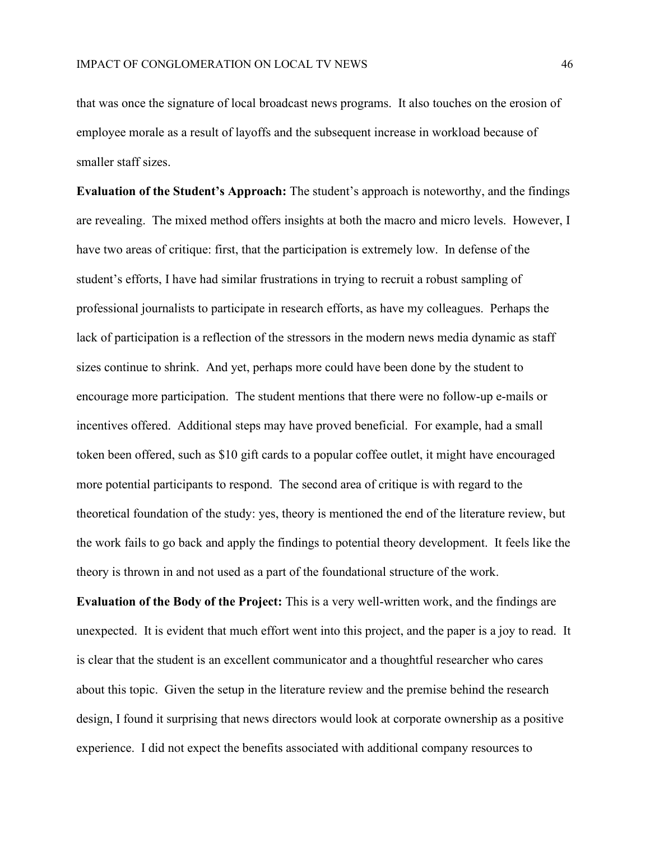that was once the signature of local broadcast news programs. It also touches on the erosion of employee morale as a result of layoffs and the subsequent increase in workload because of smaller staff sizes.

**Evaluation of the Student's Approach:** The student's approach is noteworthy, and the findings are revealing. The mixed method offers insights at both the macro and micro levels. However, I have two areas of critique: first, that the participation is extremely low. In defense of the student's efforts, I have had similar frustrations in trying to recruit a robust sampling of professional journalists to participate in research efforts, as have my colleagues. Perhaps the lack of participation is a reflection of the stressors in the modern news media dynamic as staff sizes continue to shrink. And yet, perhaps more could have been done by the student to encourage more participation. The student mentions that there were no follow-up e-mails or incentives offered. Additional steps may have proved beneficial. For example, had a small token been offered, such as \$10 gift cards to a popular coffee outlet, it might have encouraged more potential participants to respond. The second area of critique is with regard to the theoretical foundation of the study: yes, theory is mentioned the end of the literature review, but the work fails to go back and apply the findings to potential theory development. It feels like the theory is thrown in and not used as a part of the foundational structure of the work.

**Evaluation of the Body of the Project:** This is a very well-written work, and the findings are unexpected. It is evident that much effort went into this project, and the paper is a joy to read. It is clear that the student is an excellent communicator and a thoughtful researcher who cares about this topic. Given the setup in the literature review and the premise behind the research design, I found it surprising that news directors would look at corporate ownership as a positive experience. I did not expect the benefits associated with additional company resources to